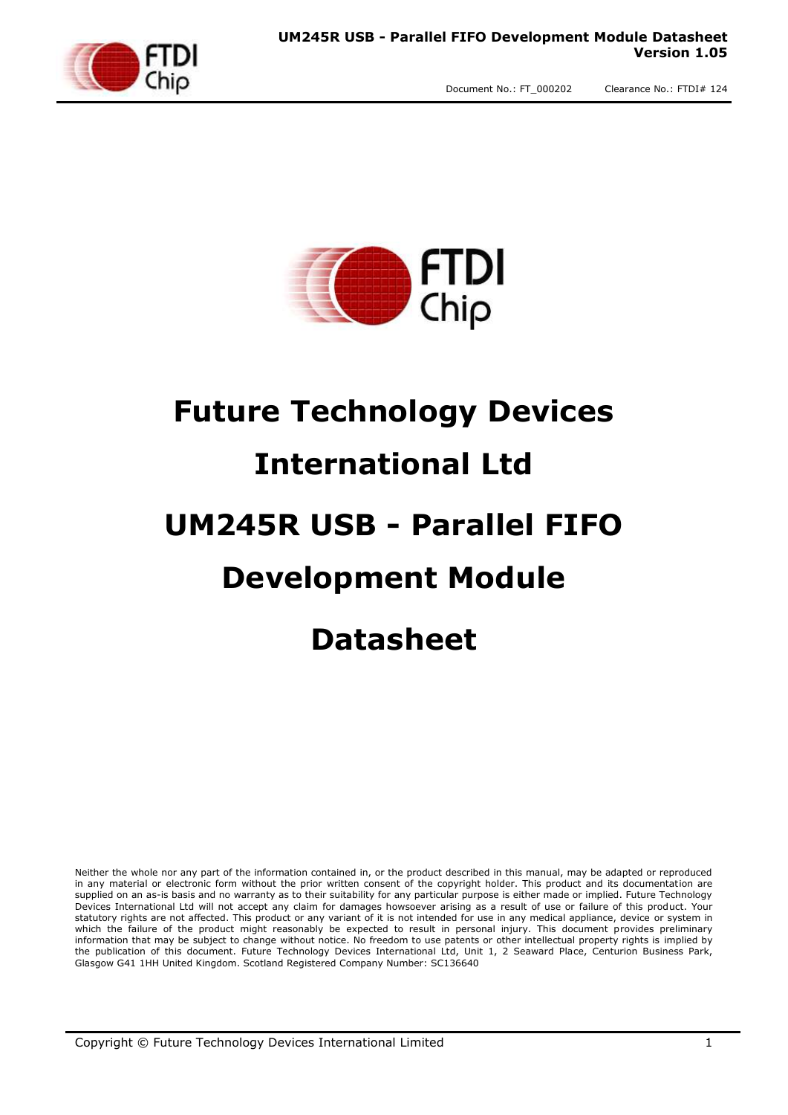

# **Future Technology Devices International Ltd UM245R USB - Parallel FIFO Development Module**

# **Datasheet**

Neither the whole nor any part of the information contained in, or the product described in this manual, may be adapted or reproduced in any material or electronic form without the prior written consent of the copyright holder. This product and its documentation are supplied on an as-is basis and no warranty as to their suitability for any particular purpose is either made or implied. Future Technology Devices International Ltd will not accept any claim for damages howsoever arising as a result of use or failure of this product. Your statutory rights are not affected. This product or any variant of it is not intended for use in any medical appliance, device or system in which the failure of the product might reasonably be expected to result in personal injury. This document provides preliminary information that may be subject to change without notice. No freedom to use patents or other intellectual property rights is implied by the publication of this document. Future Technology Devices International Ltd, Unit 1, 2 Seaward Place, Centurion Business Park, Glasgow G41 1HH United Kingdom. Scotland Registered Company Number: SC136640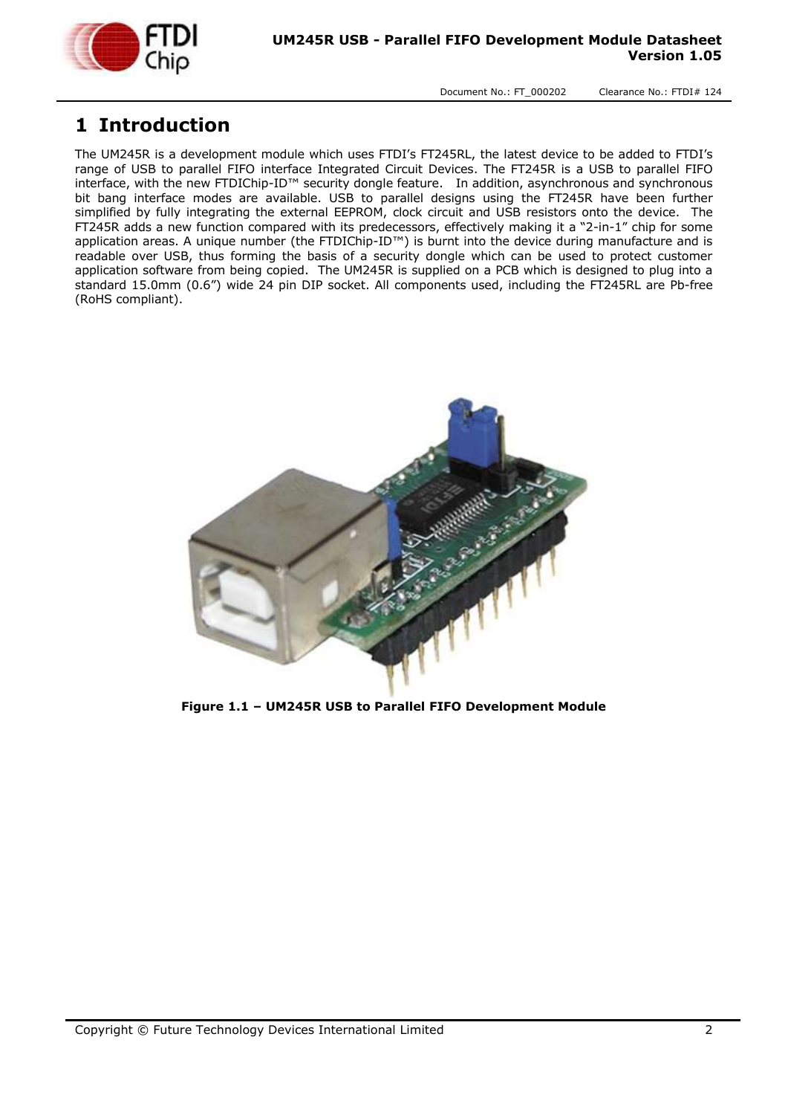

#### <span id="page-1-0"></span>**1 Introduction**

The UM245R is a development module which uses FTDI's FT245RL, the latest device to be added to FTDI's range of USB to parallel FIFO interface Integrated Circuit Devices. The FT245R is a USB to parallel FIFO interface, with the new FTDIChip-ID™ security dongle feature. In addition, asynchronous and synchronous bit bang interface modes are available. USB to parallel designs using the FT245R have been further simplified by fully integrating the external EEPROM, clock circuit and USB resistors onto the device. The FT245R adds a new function compared with its predecessors, effectively making it a "2-in-1" chip for some application areas. A unique number (the FTDIChip-ID™) is burnt into the device during manufacture and is readable over USB, thus forming the basis of a security dongle which can be used to protect customer application software from being copied. The UM245R is supplied on a PCB which is designed to plug into a standard 15.0mm (0.6") wide 24 pin DIP socket. All components used, including the FT245RL are Pb-free (RoHS compliant).

<span id="page-1-1"></span>

**Figure 1.1 – UM245R USB to Parallel FIFO Development Module**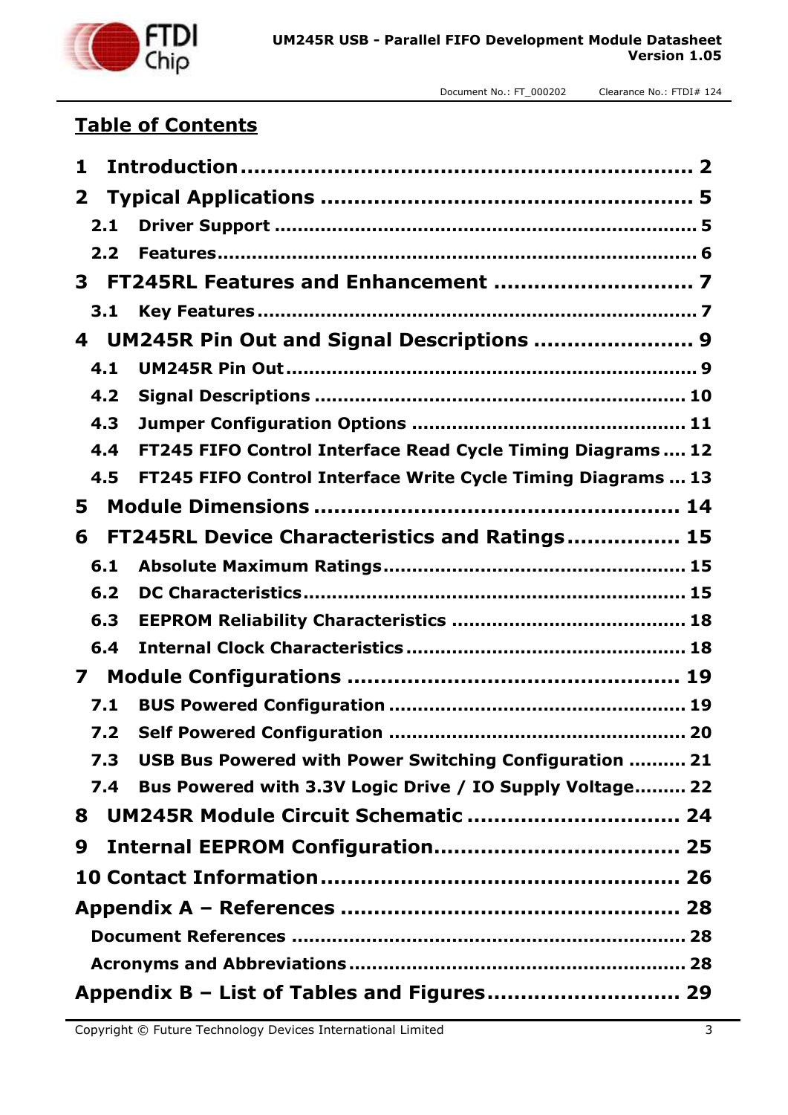

#### **Table of Contents**

| 1            |                                                              |
|--------------|--------------------------------------------------------------|
| $\mathbf{2}$ |                                                              |
| 2.1          |                                                              |
| 2.2          |                                                              |
| 3            |                                                              |
| 3.1          |                                                              |
| 4            | UM245R Pin Out and Signal Descriptions  9                    |
| 4.1          |                                                              |
| 4.2          |                                                              |
| 4.3          |                                                              |
| 4.4          | FT245 FIFO Control Interface Read Cycle Timing Diagrams  12  |
| 4.5          | FT245 FIFO Control Interface Write Cycle Timing Diagrams  13 |
| 5            |                                                              |
| 6            | FT245RL Device Characteristics and Ratings 15                |
| 6.1          |                                                              |
| 6.2          |                                                              |
| 6.3          |                                                              |
| 6.4          |                                                              |
| 7            |                                                              |
| 7.1          |                                                              |
| 7.2          |                                                              |
| 7.3          | USB Bus Powered with Power Switching Configuration  21       |
| 7.4          | Bus Powered with 3.3V Logic Drive / IO Supply Voltage 22     |
| 8            | UM245R Module Circuit Schematic  24                          |
| 9            |                                                              |
|              |                                                              |
|              |                                                              |
|              |                                                              |
|              |                                                              |
|              |                                                              |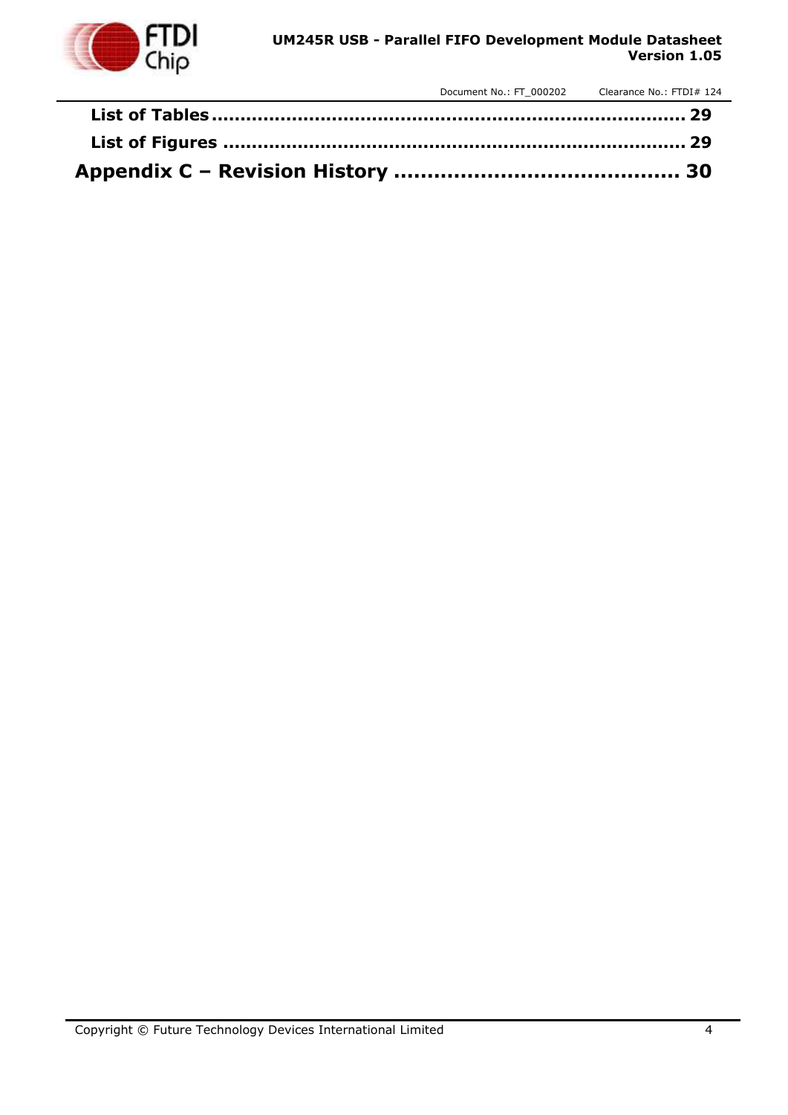

#### **UM245R USB - Parallel FIFO Development Module Datasheet Version 1.05**

Document No.: FT\_000202 Clearance No.: FTDI# 124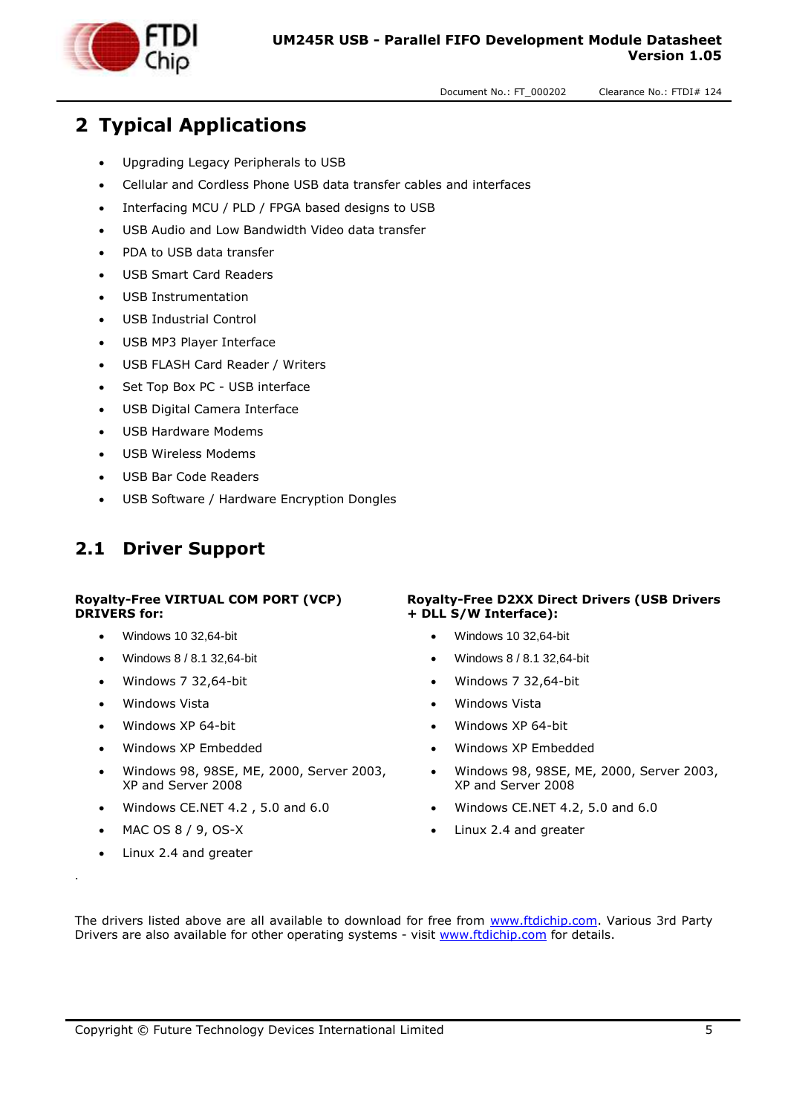

# <span id="page-4-0"></span>**2 Typical Applications**

- Upgrading Legacy Peripherals to USB
- Cellular and Cordless Phone USB data transfer cables and interfaces
- Interfacing MCU / PLD / FPGA based designs to USB
- USB Audio and Low Bandwidth Video data transfer
- PDA to USB data transfer
- USB Smart Card Readers
- USB Instrumentation
- USB Industrial Control
- USB MP3 Player Interface
- USB FLASH Card Reader / Writers
- Set Top Box PC USB interface
- USB Digital Camera Interface
- USB Hardware Modems
- USB Wireless Modems
- USB Bar Code Readers
- USB Software / Hardware Encryption Dongles

#### <span id="page-4-1"></span>**2.1 Driver Support**

#### **Royalty-Free VIRTUAL COM PORT (VCP) DRIVERS for:**

- Windows 10 32,64-bit
- Windows 8 / 8.1 32,64-bit
- Windows 7 32,64-bit
- Windows Vista
- Windows XP 64-bit
- Windows XP Embedded
- Windows 98, 98SE, ME, 2000, Server 2003, XP and Server 2008
- $\bullet$  Windows CE.NET 4.2, 5.0 and 6.0
- MAC OS 8 / 9, OS-X
- Linux 2.4 and greater

.

#### **Royalty-Free D2XX Direct Drivers (USB Drivers + DLL S/W Interface):**

- Windows 10 32,64-bit
- Windows 8 / 8.1 32,64-bit
- Windows 7 32,64-bit
- Windows Vista
- Windows XP 64-bit
- Windows XP Embedded
- Windows 98, 98SE, ME, 2000, Server 2003, XP and Server 2008
- $\bullet$  Windows CE.NET 4.2, 5.0 and 6.0
- Linux 2.4 and greater

The drivers listed above are all available to download for free from [www.ftdichip.com.](http://www.ftdichip.com/) Various 3rd Party Drivers are also available for other operating systems - visit [www.ftdichip.com](http://www.ftdichip.com/) for details.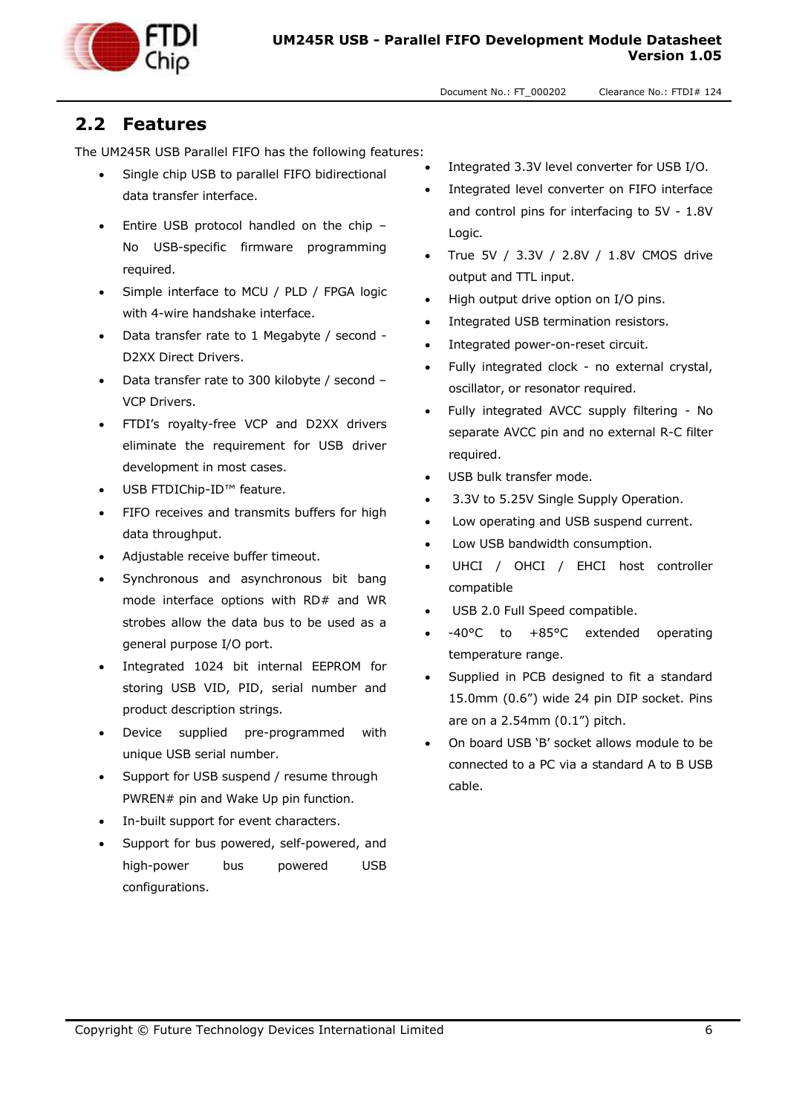

#### <span id="page-5-0"></span>**2.2 Features**

The UM245R USB Parallel FIFO has the following features:

- Single chip USB to parallel FIFO bidirectional data transfer interface.
- Entire USB protocol handled on the chip No USB-specific firmware programming required.
- Simple interface to MCU / PLD / FPGA logic with 4-wire handshake interface.
- Data transfer rate to 1 Megabyte / second D2XX Direct Drivers.
- Data transfer rate to 300 kilobyte / second VCP Drivers.
- FTDI's royalty-free VCP and D2XX drivers eliminate the requirement for USB driver development in most cases.
- USB FTDIChip-ID™ feature.
- FIFO receives and transmits buffers for high data throughput.
- Adjustable receive buffer timeout.
- Synchronous and asynchronous bit bang mode interface options with RD# and WR strobes allow the data bus to be used as a general purpose I/O port.
- Integrated 1024 bit internal EEPROM for storing USB VID, PID, serial number and product description strings.
- Device supplied pre-programmed with unique USB serial number.
- Support for USB suspend / resume through PWREN# pin and Wake Up pin function.
- In-built support for event characters.
- Support for bus powered, self-powered, and high-power bus powered USB configurations.
- Integrated 3.3V level converter for USB I/O.
- Integrated level converter on FIFO interface and control pins for interfacing to 5V - 1.8V Logic.
- True 5V / 3.3V / 2.8V / 1.8V CMOS drive output and TTL input.
- High output drive option on I/O pins.
- Integrated USB termination resistors.
- Integrated power-on-reset circuit.
- Fully integrated clock no external crystal, oscillator, or resonator required.
- Fully integrated AVCC supply filtering No separate AVCC pin and no external R-C filter required.
- USB bulk transfer mode.
- 3.3V to 5.25V Single Supply Operation.
- Low operating and USB suspend current.
- Low USB bandwidth consumption.
- UHCI / OHCI / EHCI host controller compatible
- USB 2.0 Full Speed compatible.
- -40°C to +85°C extended operating temperature range.
- Supplied in PCB designed to fit a standard 15.0mm (0.6") wide 24 pin DIP socket. Pins are on a 2.54mm (0.1") pitch.
- On board USB 'B' socket allows module to be connected to a PC via a standard A to B USB cable.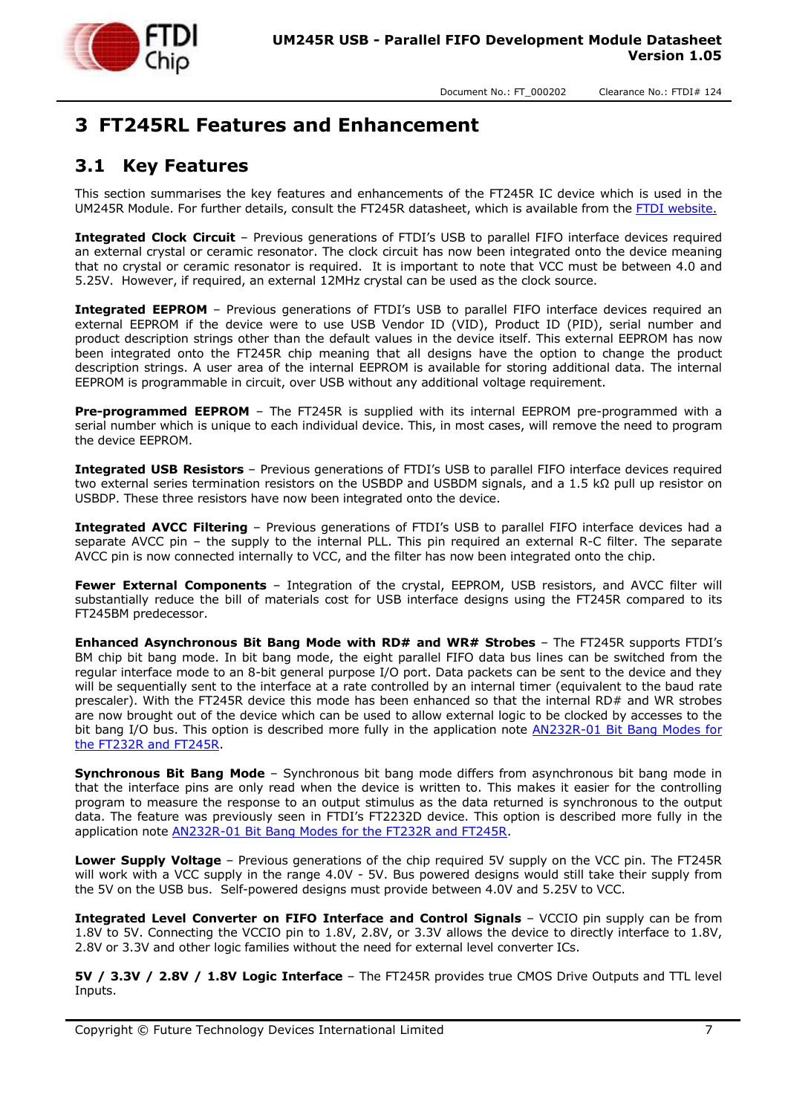

# <span id="page-6-0"></span>**3 FT245RL Features and Enhancement**

#### <span id="page-6-1"></span>**3.1 Key Features**

This section summarises the key features and enhancements of the FT245R IC device which is used in the UM245R Module. For further details, consult the FT245R datasheet, which is available from the FTDI website.

**Integrated Clock Circuit** – Previous generations of FTDI's USB to parallel FIFO interface devices required an external crystal or ceramic resonator. The clock circuit has now been integrated onto the device meaning that no crystal or ceramic resonator is required. It is important to note that VCC must be between 4.0 and 5.25V. However, if required, an external 12MHz crystal can be used as the clock source.

**Integrated EEPROM** – Previous generations of FTDI's USB to parallel FIFO interface devices required an external EEPROM if the device were to use USB Vendor ID (VID), Product ID (PID), serial number and product description strings other than the default values in the device itself. This external EEPROM has now been integrated onto the FT245R chip meaning that all designs have the option to change the product description strings. A user area of the internal EEPROM is available for storing additional data. The internal EEPROM is programmable in circuit, over USB without any additional voltage requirement.

**Pre-programmed EEPROM** – The FT245R is supplied with its internal EEPROM pre-programmed with a serial number which is unique to each individual device. This, in most cases, will remove the need to program the device EEPROM.

**Integrated USB Resistors** – Previous generations of FTDI's USB to parallel FIFO interface devices required two external series termination resistors on the USBDP and USBDM signals, and a 1.5 kΩ pull up resistor on USBDP. These three resistors have now been integrated onto the device.

**Integrated AVCC Filtering** – Previous generations of FTDI's USB to parallel FIFO interface devices had a separate AVCC pin - the supply to the internal PLL. This pin required an external R-C filter. The separate AVCC pin is now connected internally to VCC, and the filter has now been integrated onto the chip.

**Fewer External Components** – Integration of the crystal, EEPROM, USB resistors, and AVCC filter will substantially reduce the bill of materials cost for USB interface designs using the FT245R compared to its FT245BM predecessor.

**Enhanced Asynchronous Bit Bang Mode with RD# and WR# Strobes** – The FT245R supports FTDI's BM chip bit bang mode. In bit bang mode, the eight parallel FIFO data bus lines can be switched from the regular interface mode to an 8-bit general purpose I/O port. Data packets can be sent to the device and they will be sequentially sent to the interface at a rate controlled by an internal timer (equivalent to the baud rate prescaler). With the FT245R device this mode has been enhanced so that the internal RD# and WR strobes are now brought out of the device which can be used to allow external logic to be clocked by accesses to the bit bang I/O bus. This option is described more fully in the application note **AN232R-01 Bit Bang Modes for** [the FT232R and FT245R.](http://www.ftdichip.com/Documents/AppNotes/AN232R-01_FT232RBitBangModes.pdf)

**Synchronous Bit Bang Mode** – Synchronous bit bang mode differs from asynchronous bit bang mode in that the interface pins are only read when the device is written to. This makes it easier for the controlling program to measure the response to an output stimulus as the data returned is synchronous to the output data. The feature was previously seen in FTDI's FT2232D device. This option is described more fully in the application note [AN232R-01 Bit Bang Modes for the FT232R and FT245R.](http://www.ftdichip.com/Documents/AppNotes/AN232R-01_FT232RBitBangModes.pdf)

**Lower Supply Voltage** – Previous generations of the chip required 5V supply on the VCC pin. The FT245R will work with a VCC supply in the range 4.0V - 5V. Bus powered designs would still take their supply from the 5V on the USB bus. Self-powered designs must provide between 4.0V and 5.25V to VCC.

**Integrated Level Converter on FIFO Interface and Control Signals** – VCCIO pin supply can be from 1.8V to 5V. Connecting the VCCIO pin to 1.8V, 2.8V, or 3.3V allows the device to directly interface to 1.8V, 2.8V or 3.3V and other logic families without the need for external level converter ICs.

**5V / 3.3V / 2.8V / 1.8V Logic Interface** – The FT245R provides true CMOS Drive Outputs and TTL level Inputs.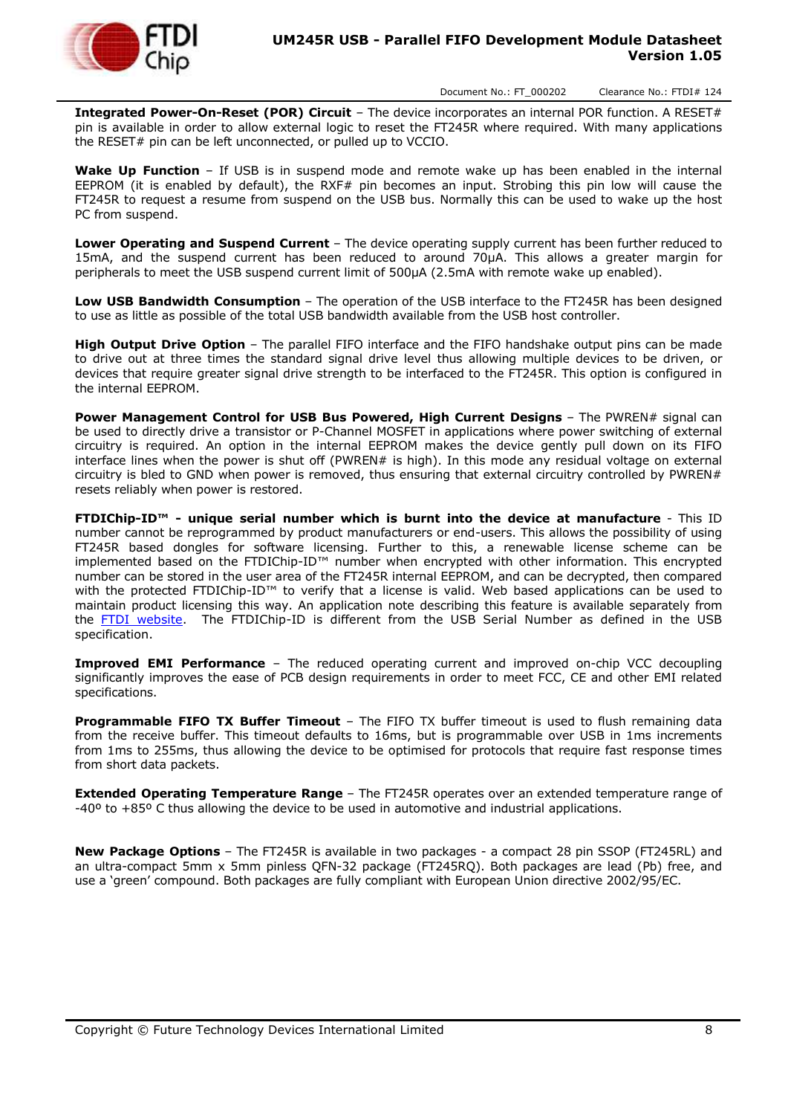

**Integrated Power-On-Reset (POR) Circuit** – The device incorporates an internal POR function. A RESET# pin is available in order to allow external logic to reset the FT245R where required. With many applications the RESET# pin can be left unconnected, or pulled up to VCCIO.

**Wake Up Function** – If USB is in suspend mode and remote wake up has been enabled in the internal EEPROM (it is enabled by default), the RXF# pin becomes an input. Strobing this pin low will cause the FT245R to request a resume from suspend on the USB bus. Normally this can be used to wake up the host PC from suspend.

**Lower Operating and Suspend Current** – The device operating supply current has been further reduced to 15mA, and the suspend current has been reduced to around 70μA. This allows a greater margin for peripherals to meet the USB suspend current limit of 500μA (2.5mA with remote wake up enabled).

**Low USB Bandwidth Consumption** – The operation of the USB interface to the FT245R has been designed to use as little as possible of the total USB bandwidth available from the USB host controller.

**High Output Drive Option** – The parallel FIFO interface and the FIFO handshake output pins can be made to drive out at three times the standard signal drive level thus allowing multiple devices to be driven, or devices that require greater signal drive strength to be interfaced to the FT245R. This option is configured in the internal EEPROM.

**Power Management Control for USB Bus Powered, High Current Designs** – The PWREN# signal can be used to directly drive a transistor or P-Channel MOSFET in applications where power switching of external circuitry is required. An option in the internal EEPROM makes the device gently pull down on its FIFO interface lines when the power is shut off (PWREN# is high). In this mode any residual voltage on external circuitry is bled to GND when power is removed, thus ensuring that external circuitry controlled by PWREN $#$ resets reliably when power is restored.

**FTDIChip-ID™ - unique serial number which is burnt into the device at manufacture** - This ID number cannot be reprogrammed by product manufacturers or end-users. This allows the possibility of using FT245R based dongles for software licensing. Further to this, a renewable license scheme can be implemented based on the FTDIChip-ID™ number when encrypted with other information. This encrypted number can be stored in the user area of the FT245R internal EEPROM, and can be decrypted, then compared with the protected FTDIChip-ID™ to verify that a license is valid. Web based applications can be used to maintain product licensing this way. An application note describing this feature is available separately from the [FTDI website.](http://www.ftdichip.com/) The FTDIChip-ID is different from the USB Serial Number as defined in the USB specification.

**Improved EMI Performance** – The reduced operating current and improved on-chip VCC decoupling significantly improves the ease of PCB design requirements in order to meet FCC, CE and other EMI related specifications.

**Programmable FIFO TX Buffer Timeout** – The FIFO TX buffer timeout is used to flush remaining data from the receive buffer. This timeout defaults to 16ms, but is programmable over USB in 1ms increments from 1ms to 255ms, thus allowing the device to be optimised for protocols that require fast response times from short data packets.

**Extended Operating Temperature Range** – The FT245R operates over an extended temperature range of -40º to +85º C thus allowing the device to be used in automotive and industrial applications.

**New Package Options** – The FT245R is available in two packages - a compact 28 pin SSOP (FT245RL) and an ultra-compact 5mm x 5mm pinless QFN-32 package (FT245RQ). Both packages are lead (Pb) free, and use a 'green' compound. Both packages are fully compliant with European Union directive 2002/95/EC.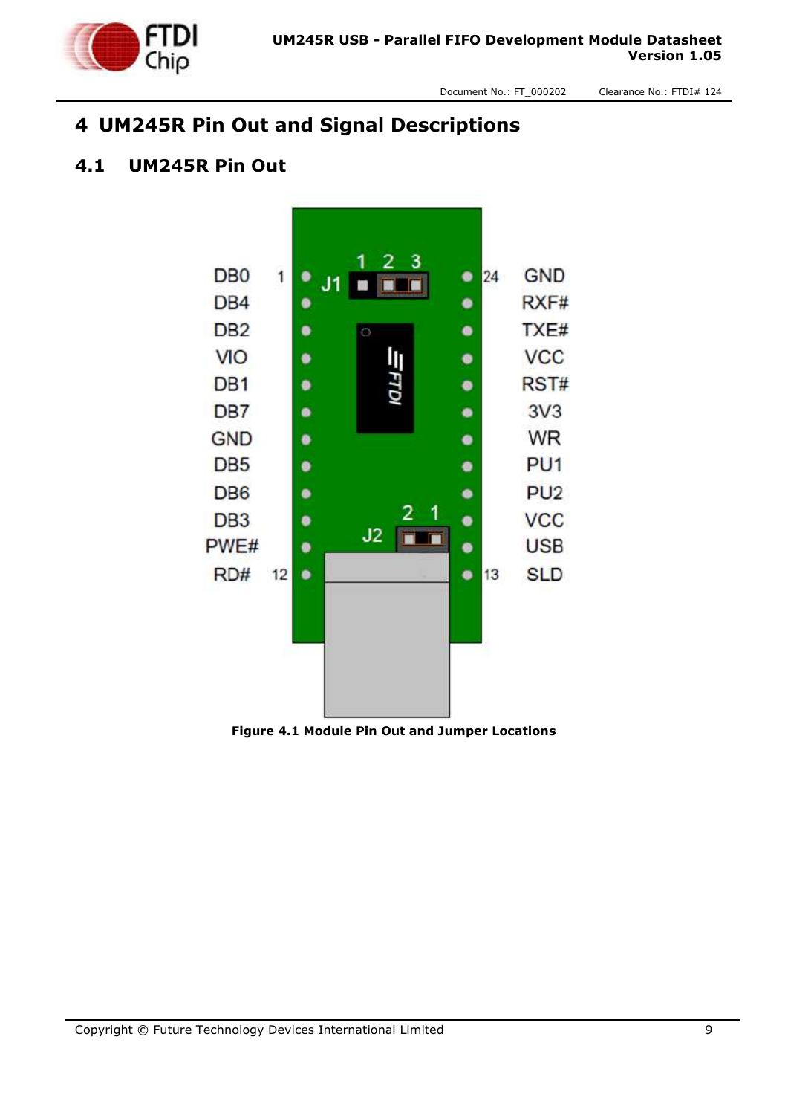

# <span id="page-8-0"></span>**4 UM245R Pin Out and Signal Descriptions**

#### <span id="page-8-1"></span>**4.1 UM245R Pin Out**



<span id="page-8-2"></span>**Figure 4.1 Module Pin Out and Jumper Locations**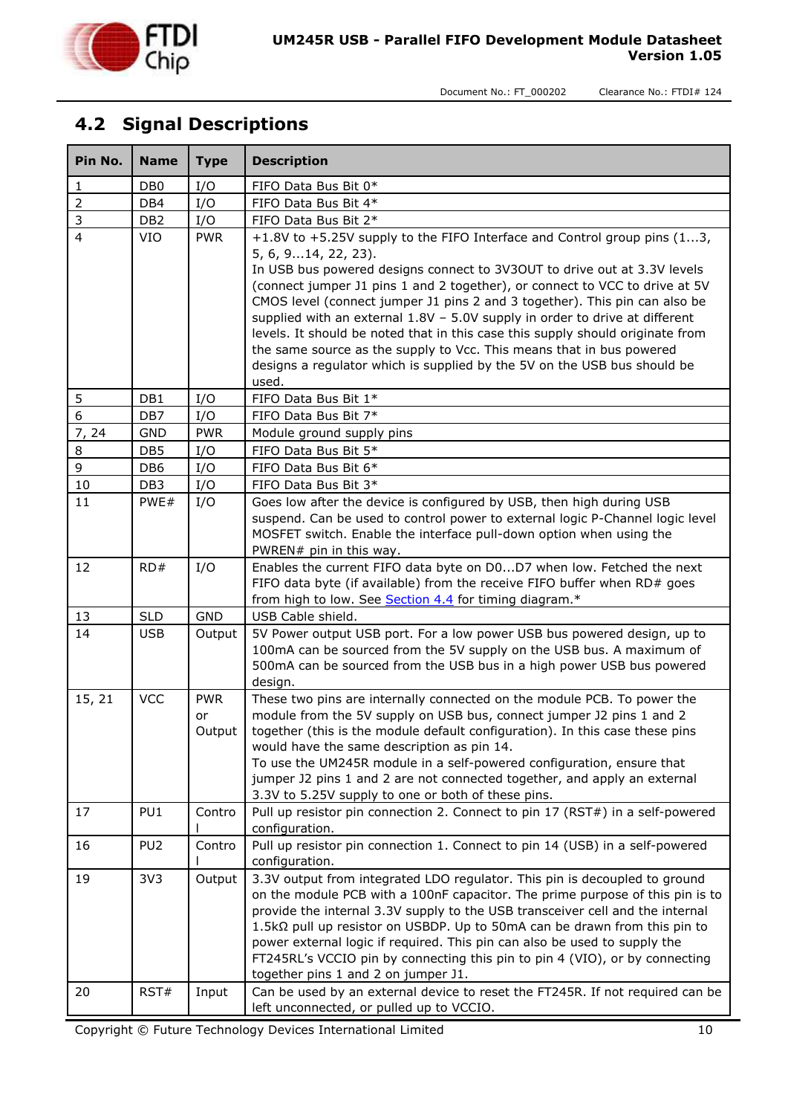

# <span id="page-9-0"></span>**4.2 Signal Descriptions**

| Pin No.        | <b>Name</b>     | <b>Type</b> | <b>Description</b>                                                                                                                                     |
|----------------|-----------------|-------------|--------------------------------------------------------------------------------------------------------------------------------------------------------|
| 1              | DB <sub>0</sub> | I/O         | FIFO Data Bus Bit 0*                                                                                                                                   |
| $\overline{2}$ | DB4             | I/O         | FIFO Data Bus Bit 4*                                                                                                                                   |
| 3              | DB <sub>2</sub> | I/O         | FIFO Data Bus Bit 2*                                                                                                                                   |
| $\overline{4}$ | <b>VIO</b>      | <b>PWR</b>  | +1.8V to +5.25V supply to the FIFO Interface and Control group pins (13,                                                                               |
|                |                 |             | 5, 6, 914, 22, 23).                                                                                                                                    |
|                |                 |             | In USB bus powered designs connect to 3V3OUT to drive out at 3.3V levels                                                                               |
|                |                 |             | (connect jumper J1 pins 1 and 2 together), or connect to VCC to drive at 5V                                                                            |
|                |                 |             | CMOS level (connect jumper J1 pins 2 and 3 together). This pin can also be                                                                             |
|                |                 |             | supplied with an external 1.8V - 5.0V supply in order to drive at different                                                                            |
|                |                 |             | levels. It should be noted that in this case this supply should originate from<br>the same source as the supply to Vcc. This means that in bus powered |
|                |                 |             | designs a regulator which is supplied by the 5V on the USB bus should be                                                                               |
|                |                 |             | used.                                                                                                                                                  |
| 5              | DB1             | I/O         | FIFO Data Bus Bit 1*                                                                                                                                   |
| $\mathbf 6$    | DB7             | I/O         | FIFO Data Bus Bit 7*                                                                                                                                   |
| 7, 24          | <b>GND</b>      | <b>PWR</b>  | Module ground supply pins                                                                                                                              |
| 8              | DB <sub>5</sub> | I/O         | FIFO Data Bus Bit 5*                                                                                                                                   |
| 9              | DB <sub>6</sub> | I/O         | FIFO Data Bus Bit 6*                                                                                                                                   |
| 10             | DB <sub>3</sub> | I/O         | FIFO Data Bus Bit 3*                                                                                                                                   |
| 11             | PWE#            | I/O         | Goes low after the device is configured by USB, then high during USB                                                                                   |
|                |                 |             | suspend. Can be used to control power to external logic P-Channel logic level                                                                          |
|                |                 |             | MOSFET switch. Enable the interface pull-down option when using the                                                                                    |
|                |                 |             | PWREN# pin in this way.                                                                                                                                |
| 12             | RD#             | I/O         | Enables the current FIFO data byte on D0D7 when low. Fetched the next                                                                                  |
|                |                 |             | FIFO data byte (if available) from the receive FIFO buffer when RD# goes<br>from high to low. See Section 4.4 for timing diagram.*                     |
| 13             | <b>SLD</b>      | <b>GND</b>  | USB Cable shield.                                                                                                                                      |
| 14             | <b>USB</b>      | Output      | 5V Power output USB port. For a low power USB bus powered design, up to                                                                                |
|                |                 |             | 100mA can be sourced from the 5V supply on the USB bus. A maximum of                                                                                   |
|                |                 |             | 500mA can be sourced from the USB bus in a high power USB bus powered                                                                                  |
|                |                 |             | design.                                                                                                                                                |
| 15, 21         | <b>VCC</b>      | <b>PWR</b>  | These two pins are internally connected on the module PCB. To power the                                                                                |
|                |                 | or          | module from the 5V supply on USB bus, connect jumper J2 pins 1 and 2                                                                                   |
|                |                 | Output      | together (this is the module default configuration). In this case these pins                                                                           |
|                |                 |             | would have the same description as pin 14.                                                                                                             |
|                |                 |             | To use the UM245R module in a self-powered configuration, ensure that                                                                                  |
|                |                 |             | jumper J2 pins 1 and 2 are not connected together, and apply an external<br>3.3V to 5.25V supply to one or both of these pins.                         |
| 17             | PU <sub>1</sub> | Contro      | Pull up resistor pin connection 2. Connect to pin 17 (RST#) in a self-powered                                                                          |
|                |                 |             | configuration.                                                                                                                                         |
| 16             | PU <sub>2</sub> | Contro      | Pull up resistor pin connection 1. Connect to pin 14 (USB) in a self-powered                                                                           |
|                |                 |             | configuration.                                                                                                                                         |
| 19             | 3V3             | Output      | 3.3V output from integrated LDO regulator. This pin is decoupled to ground                                                                             |
|                |                 |             | on the module PCB with a 100nF capacitor. The prime purpose of this pin is to                                                                          |
|                |                 |             | provide the internal 3.3V supply to the USB transceiver cell and the internal                                                                          |
|                |                 |             | 1.5kΩ pull up resistor on USBDP. Up to 50mA can be drawn from this pin to                                                                              |
|                |                 |             | power external logic if required. This pin can also be used to supply the                                                                              |
|                |                 |             | FT245RL's VCCIO pin by connecting this pin to pin 4 (VIO), or by connecting<br>together pins 1 and 2 on jumper J1.                                     |
| 20             | RST#            | Input       | Can be used by an external device to reset the FT245R. If not required can be                                                                          |
|                |                 |             | left unconnected, or pulled up to VCCIO.                                                                                                               |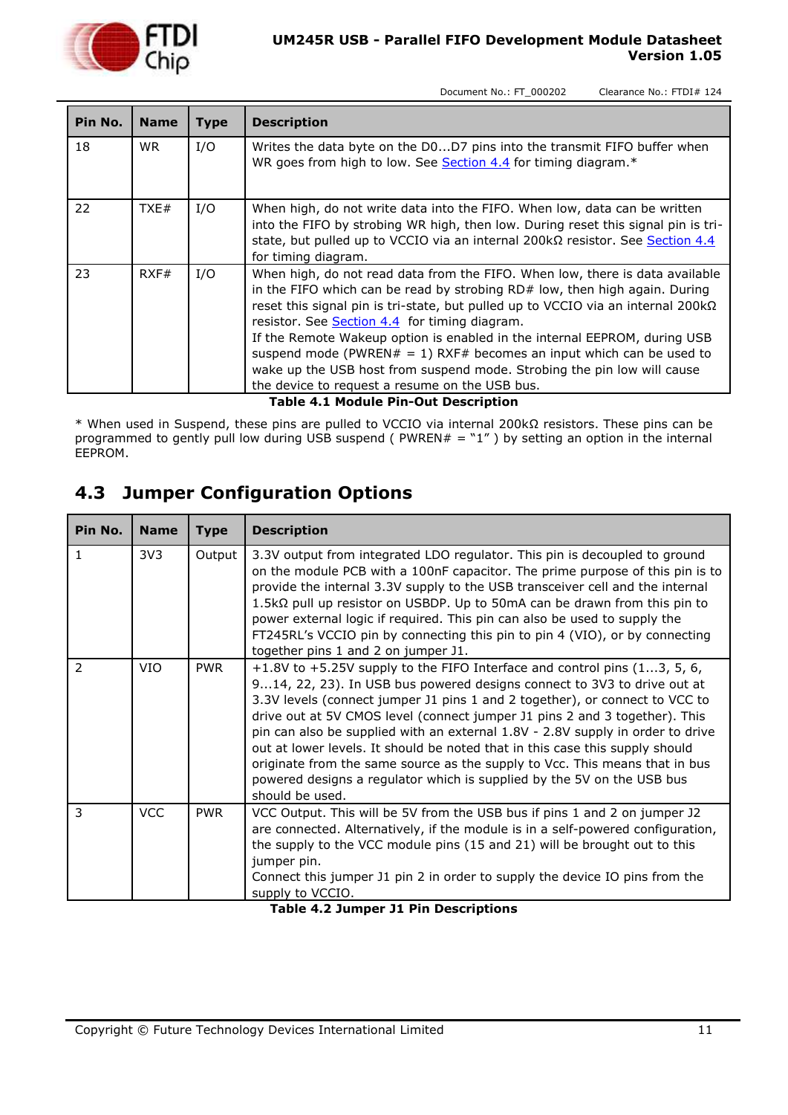

| Pin No. | <b>Name</b> | <b>Type</b> | <b>Description</b>                                                                                                                                                                                                                                                                                                                                                                                                                                                                                                                                                                                |
|---------|-------------|-------------|---------------------------------------------------------------------------------------------------------------------------------------------------------------------------------------------------------------------------------------------------------------------------------------------------------------------------------------------------------------------------------------------------------------------------------------------------------------------------------------------------------------------------------------------------------------------------------------------------|
| 18      | WR.         | I/O         | Writes the data byte on the D0D7 pins into the transmit FIFO buffer when<br>WR goes from high to low. See Section 4.4 for timing diagram.*                                                                                                                                                                                                                                                                                                                                                                                                                                                        |
| 22      | TXE#        | I/O         | When high, do not write data into the FIFO. When low, data can be written<br>into the FIFO by strobing WR high, then low. During reset this signal pin is tri-<br>state, but pulled up to VCCIO via an internal 200k $\Omega$ resistor. See Section 4.4<br>for timing diagram.                                                                                                                                                                                                                                                                                                                    |
| 23      | RXF#        | I/O         | When high, do not read data from the FIFO. When low, there is data available<br>in the FIFO which can be read by strobing RD# low, then high again. During<br>reset this signal pin is tri-state, but pulled up to VCCIO via an internal 200 k $\Omega$<br>resistor. See <b>Section 4.4</b> for timing diagram.<br>If the Remote Wakeup option is enabled in the internal EEPROM, during USB<br>suspend mode (PWREN# = 1) RXF# becomes an input which can be used to<br>wake up the USB host from suspend mode. Strobing the pin low will cause<br>the device to request a resume on the USB bus. |

**Table 4.1 Module Pin-Out Description**

<span id="page-10-1"></span>\* When used in Suspend, these pins are pulled to VCCIO via internal 200kΩ resistors. These pins can be programmed to gently pull low during USB suspend ( $PWREN# = "1"$ ) by setting an option in the internal EEPROM.

# <span id="page-10-0"></span>**4.3 Jumper Configuration Options**

| Pin No.       | <b>Name</b>     | <b>Type</b> | <b>Description</b>                                                                                                                                                                                                                                                                                                                                                                                                                                                                                                                                                                                                                                                  |
|---------------|-----------------|-------------|---------------------------------------------------------------------------------------------------------------------------------------------------------------------------------------------------------------------------------------------------------------------------------------------------------------------------------------------------------------------------------------------------------------------------------------------------------------------------------------------------------------------------------------------------------------------------------------------------------------------------------------------------------------------|
| $\mathbf{1}$  | 3V <sub>3</sub> | Output      | 3.3V output from integrated LDO regulator. This pin is decoupled to ground<br>on the module PCB with a 100nF capacitor. The prime purpose of this pin is to<br>provide the internal 3.3V supply to the USB transceiver cell and the internal<br>$1.5k\Omega$ pull up resistor on USBDP. Up to 50mA can be drawn from this pin to<br>power external logic if required. This pin can also be used to supply the<br>FT245RL's VCCIO pin by connecting this pin to pin 4 (VIO), or by connecting<br>together pins 1 and 2 on jumper J1.                                                                                                                                 |
| $\mathcal{P}$ | <b>VIO</b>      | <b>PWR</b>  | +1.8V to +5.25V supply to the FIFO Interface and control pins $(13, 5, 6, 7)$<br>914, 22, 23). In USB bus powered designs connect to 3V3 to drive out at<br>3.3V levels (connect jumper J1 pins 1 and 2 together), or connect to VCC to<br>drive out at 5V CMOS level (connect jumper J1 pins 2 and 3 together). This<br>pin can also be supplied with an external 1.8V - 2.8V supply in order to drive<br>out at lower levels. It should be noted that in this case this supply should<br>originate from the same source as the supply to Vcc. This means that in bus<br>powered designs a regulator which is supplied by the 5V on the USB bus<br>should be used. |
| 3             | <b>VCC</b>      | <b>PWR</b>  | VCC Output. This will be 5V from the USB bus if pins 1 and 2 on jumper J2<br>are connected. Alternatively, if the module is in a self-powered configuration,<br>the supply to the VCC module pins (15 and 21) will be brought out to this<br>jumper pin.<br>Connect this jumper J1 pin 2 in order to supply the device IO pins from the<br>supply to VCCIO.                                                                                                                                                                                                                                                                                                         |

<span id="page-10-2"></span>**Table 4.2 Jumper J1 Pin Descriptions**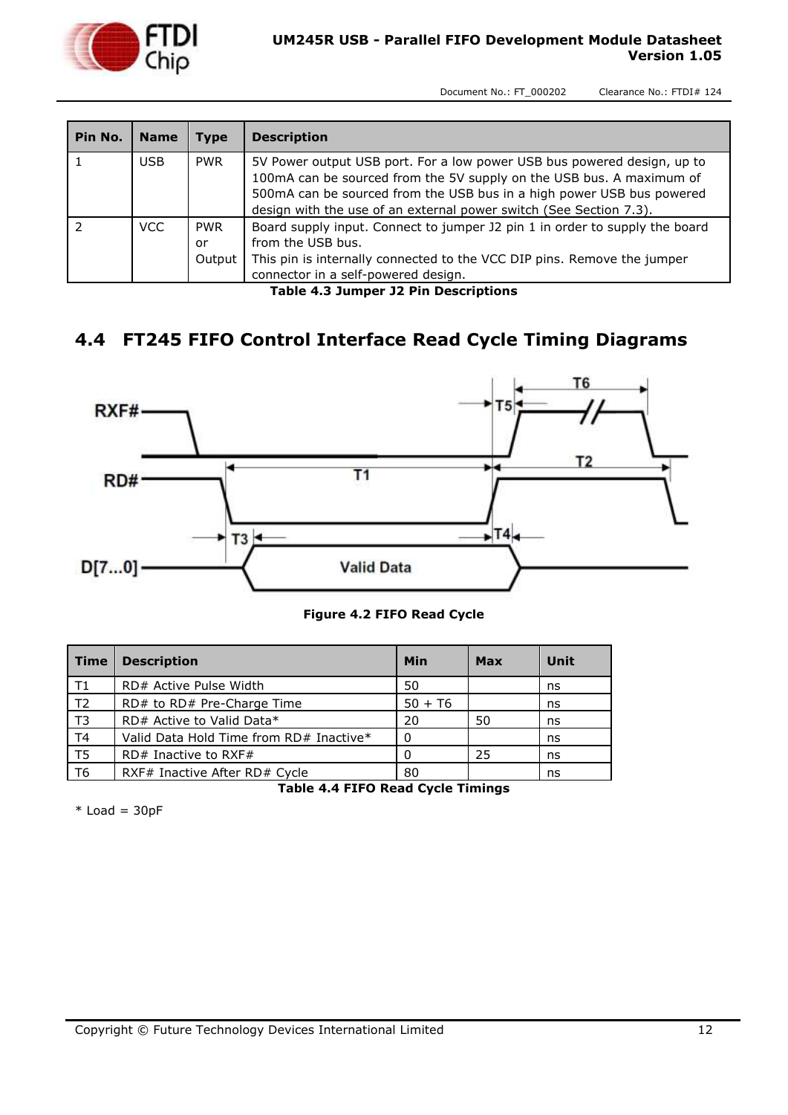

| Pin No. | <b>Name</b> | Type                       | <b>Description</b>                                                                                                                                                                                                                                                                             |
|---------|-------------|----------------------------|------------------------------------------------------------------------------------------------------------------------------------------------------------------------------------------------------------------------------------------------------------------------------------------------|
|         | <b>USB</b>  | <b>PWR</b>                 | 5V Power output USB port. For a low power USB bus powered design, up to<br>100mA can be sourced from the 5V supply on the USB bus. A maximum of<br>500mA can be sourced from the USB bus in a high power USB bus powered<br>design with the use of an external power switch (See Section 7.3). |
|         | VCC.        | <b>PWR</b><br>or<br>Output | Board supply input. Connect to jumper J2 pin 1 in order to supply the board<br>from the USB bus.<br>This pin is internally connected to the VCC DIP pins. Remove the jumper<br>connector in a self-powered design.                                                                             |

**Table 4.3 Jumper J2 Pin Descriptions**

# <span id="page-11-1"></span><span id="page-11-0"></span>**4.4 FT245 FIFO Control Interface Read Cycle Timing Diagrams**



#### **Figure 4.2 FIFO Read Cycle**

<span id="page-11-3"></span>

| <b>Time</b>    | <b>Description</b>                      | Min       | Max | Unit |
|----------------|-----------------------------------------|-----------|-----|------|
| $\mathsf{T}1$  | RD# Active Pulse Width                  | 50        |     | ns   |
| T <sub>2</sub> | RD# to RD# Pre-Charge Time              | $50 + 76$ |     | ns   |
| T <sub>3</sub> | RD# Active to Valid Data*               | 20        | 50  | ns   |
| T4             | Valid Data Hold Time from RD# Inactive* | $\Omega$  |     | ns   |
| T <sub>5</sub> | $RD#$ Inactive to RXF#                  | 0         | 25  | ns   |
| T6             | RXF# Inactive After RD# Cycle           | 80        |     | ns   |

**Table 4.4 FIFO Read Cycle Timings**

<span id="page-11-2"></span> $*$  Load = 30pF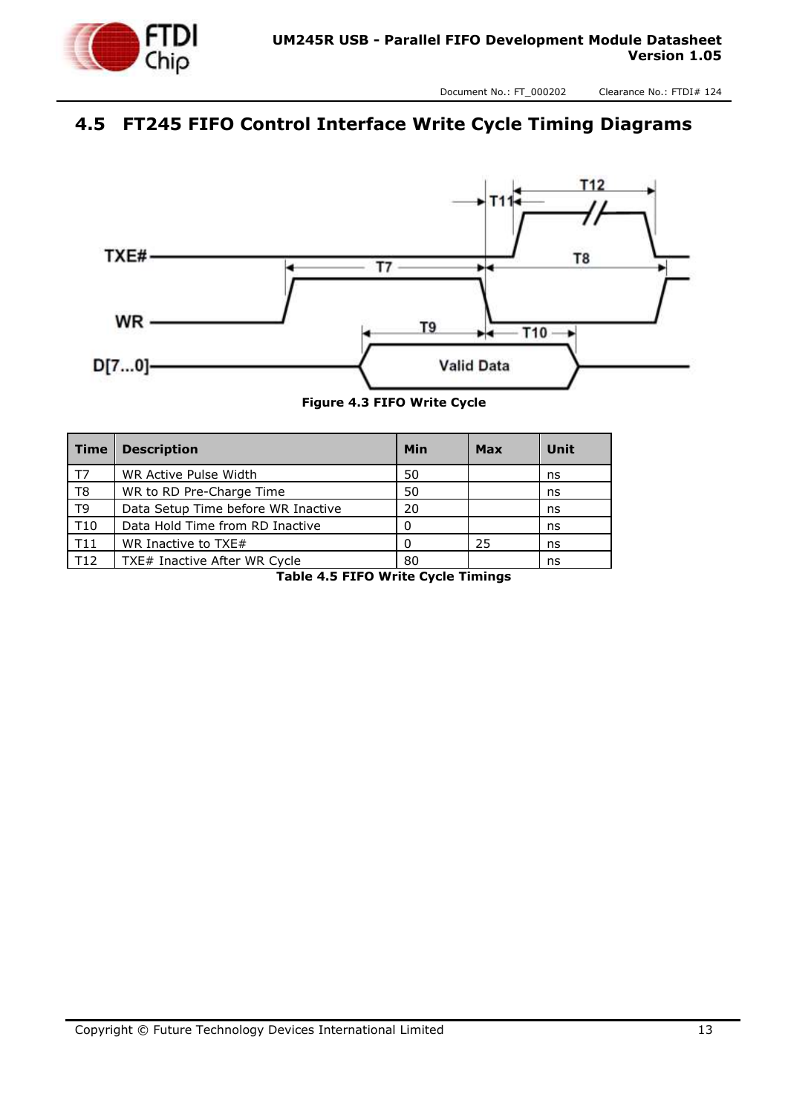

# <span id="page-12-0"></span>**4.5 FT245 FIFO Control Interface Write Cycle Timing Diagrams**



**Figure 4.3 FIFO Write Cycle**

<span id="page-12-2"></span><span id="page-12-1"></span>

| <b>Time</b>    | <b>Description</b>                 | Min | <b>Max</b> | Unit |
|----------------|------------------------------------|-----|------------|------|
| T7             | WR Active Pulse Width              | 50  |            | ns   |
| T <sub>8</sub> | WR to RD Pre-Charge Time           | 50  |            | ns   |
| T <sub>9</sub> | Data Setup Time before WR Inactive | 20  |            | ns   |
| T10            | Data Hold Time from RD Inactive    |     |            | ns   |
| T11            | WR Inactive to TXE#                |     | 25         | ns   |
| T12            | TXE# Inactive After WR Cycle       | 80  |            | ns   |

**Table 4.5 FIFO Write Cycle Timings**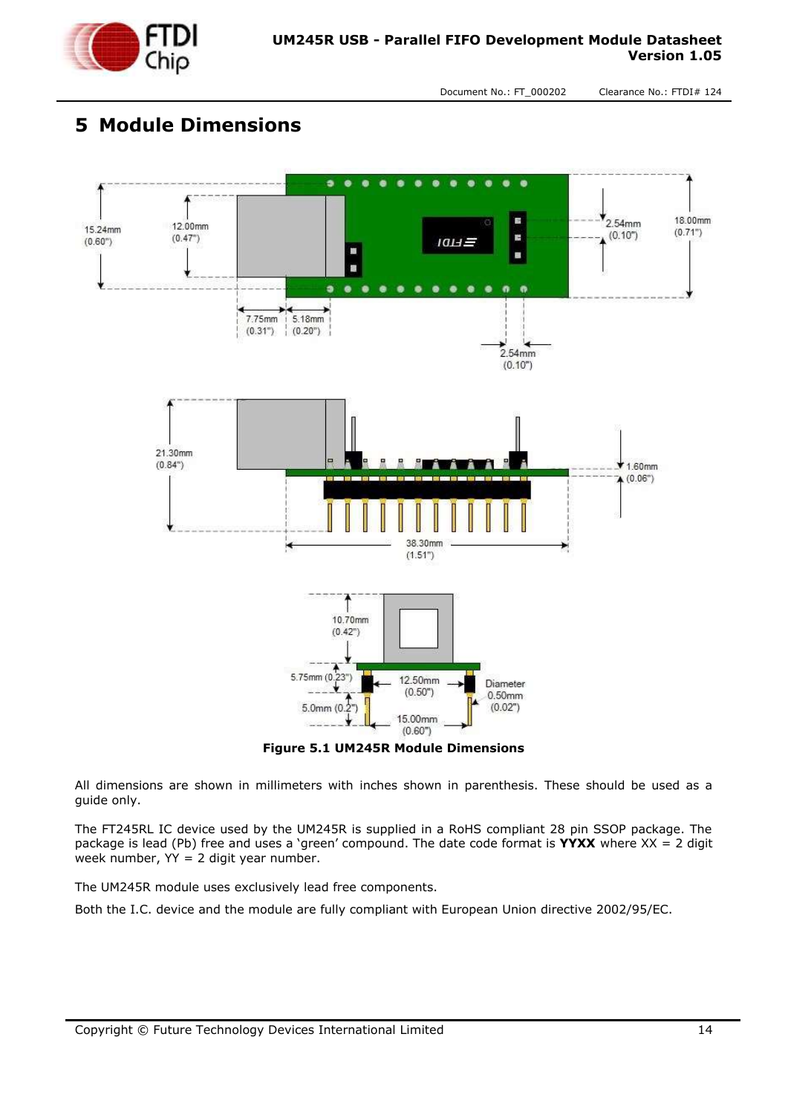

# <span id="page-13-0"></span>**5 Module Dimensions**



<span id="page-13-1"></span>All dimensions are shown in millimeters with inches shown in parenthesis. These should be used as a guide only.

The FT245RL IC device used by the UM245R is supplied in a RoHS compliant 28 pin SSOP package. The package is lead (Pb) free and uses a 'green' compound. The date code format is **YYXX** where XX = 2 digit week number,  $YY = 2$  digit year number.

The UM245R module uses exclusively lead free components.

Both the I.C. device and the module are fully compliant with European Union directive 2002/95/EC.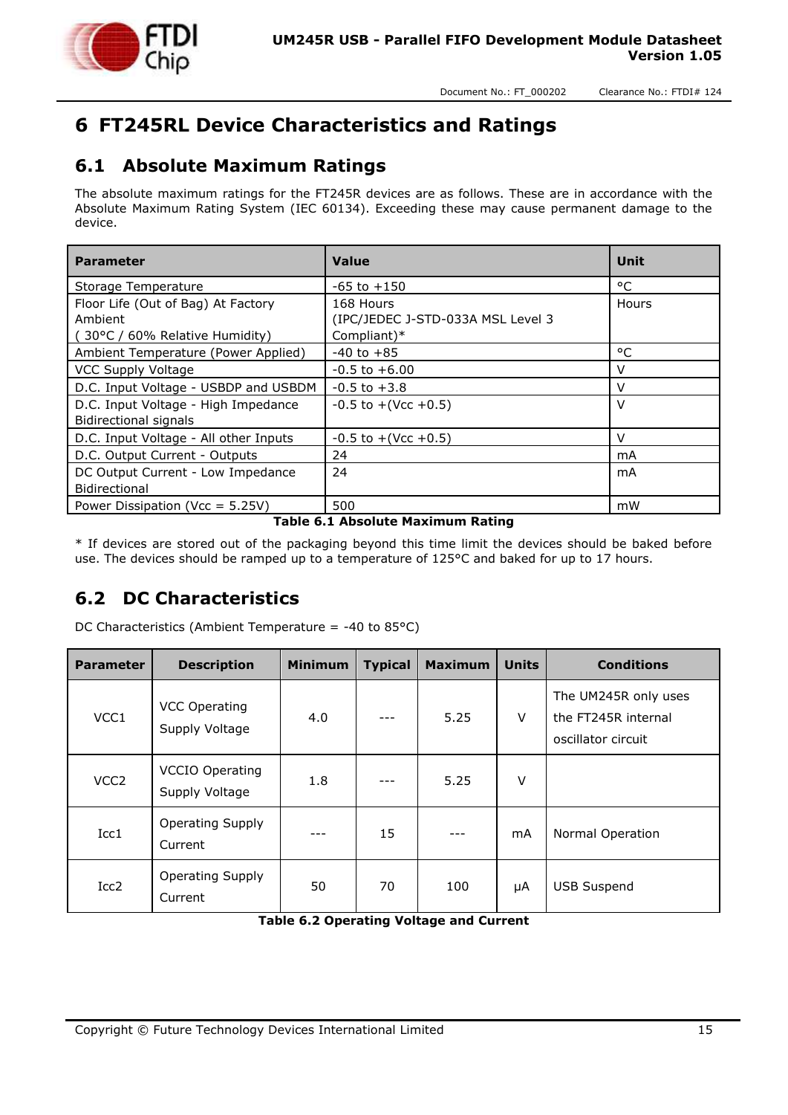

# <span id="page-14-0"></span>**6 FT245RL Device Characteristics and Ratings**

#### <span id="page-14-1"></span>**6.1 Absolute Maximum Ratings**

The absolute maximum ratings for the FT245R devices are as follows. These are in accordance with the Absolute Maximum Rating System (IEC 60134). Exceeding these may cause permanent damage to the device.

| <b>Parameter</b>                      | <b>Value</b>                      | Unit         |
|---------------------------------------|-----------------------------------|--------------|
| Storage Temperature                   | $-65$ to $+150$                   | $^{\circ}$ C |
| Floor Life (Out of Bag) At Factory    | 168 Hours                         | Hours        |
| Ambient                               | (IPC/JEDEC J-STD-033A MSL Level 3 |              |
| (30°C / 60% Relative Humidity)        | Compliant)*                       |              |
| Ambient Temperature (Power Applied)   | $-40$ to $+85$                    | °C           |
| <b>VCC Supply Voltage</b>             | $-0.5$ to $+6.00$                 | V            |
| D.C. Input Voltage - USBDP and USBDM  | $-0.5$ to $+3.8$                  | $\vee$       |
| D.C. Input Voltage - High Impedance   | $-0.5$ to $+($ Vcc $+0.5)$        | V            |
| Bidirectional signals                 |                                   |              |
| D.C. Input Voltage - All other Inputs | $-0.5$ to $+($ Vcc $+0.5)$        | V            |
| D.C. Output Current - Outputs         | 24                                | mA           |
| DC Output Current - Low Impedance     | 24                                | mA           |
| <b>Bidirectional</b>                  |                                   |              |
| Power Dissipation (Vcc = 5.25V)       | 500                               | mW           |

#### **Table 6.1 Absolute Maximum Rating**

<span id="page-14-3"></span>\* If devices are stored out of the packaging beyond this time limit the devices should be baked before use. The devices should be ramped up to a temperature of 125°C and baked for up to 17 hours.

#### <span id="page-14-2"></span>**6.2 DC Characteristics**

| <b>Parameter</b> | <b>Description</b>                       | <b>Minimum</b> | <b>Typical</b> | <b>Maximum</b> | <b>Units</b> | <b>Conditions</b>                                                 |
|------------------|------------------------------------------|----------------|----------------|----------------|--------------|-------------------------------------------------------------------|
| VCC1             | <b>VCC Operating</b><br>Supply Voltage   | 4.0            |                | 5.25           | $\vee$       | The UM245R only uses<br>the FT245R internal<br>oscillator circuit |
| VCC <sub>2</sub> | <b>VCCIO Operating</b><br>Supply Voltage | 1.8            |                | 5.25           | V            |                                                                   |
| Icc1             | Operating Supply<br>Current              | ---            | 15             |                | mA           | Normal Operation                                                  |
| Icc2             | Operating Supply<br>Current              | 50             | 70             | 100            | μA           | <b>USB Suspend</b>                                                |

DC Characteristics (Ambient Temperature = -40 to 85°C)

<span id="page-14-4"></span>**Table 6.2 Operating Voltage and Current**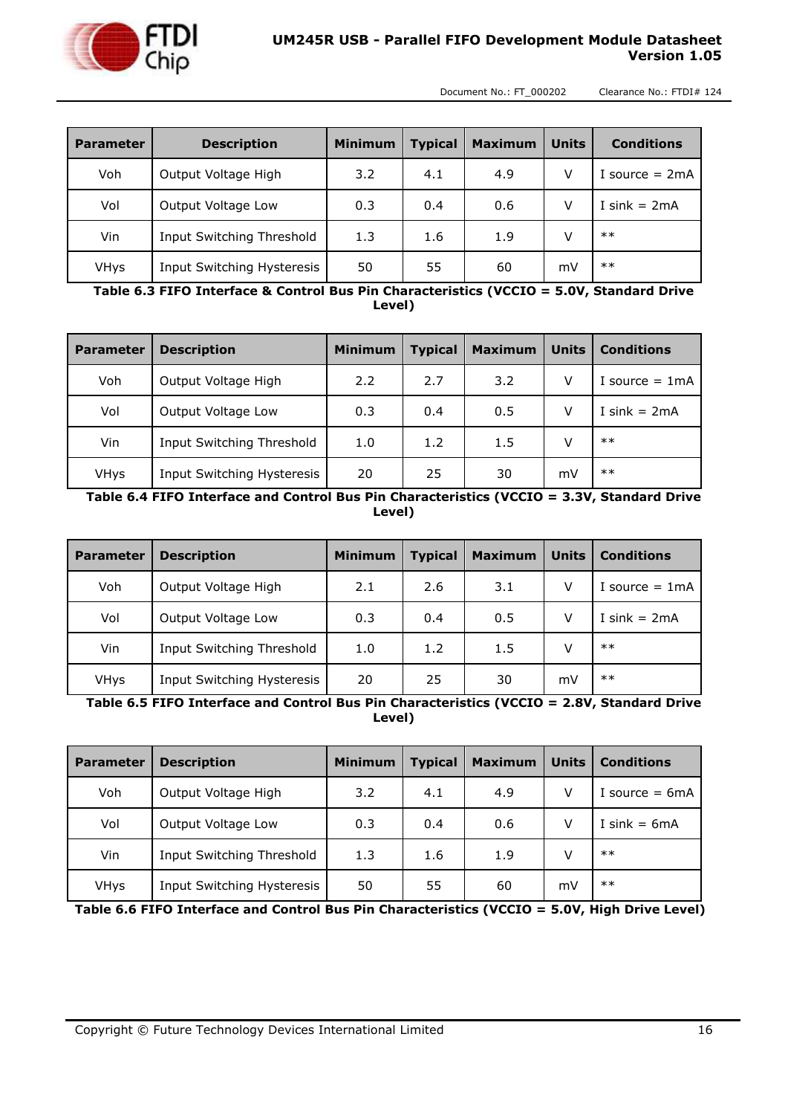

| <b>Parameter</b> | <b>Description</b>         | <b>Minimum</b> | <b>Typical</b> | <b>Maximum</b> | <b>Units</b> | <b>Conditions</b> |
|------------------|----------------------------|----------------|----------------|----------------|--------------|-------------------|
| Voh              | Output Voltage High        | 3.2            | 4.1            | 4.9            | v            | I source $= 2mA$  |
| Vol              | Output Voltage Low         | 0.3            | 0.4            | 0.6            |              | I sink $= 2mA$    |
| Vin              | Input Switching Threshold  | 1.3            | 1.6            | 1.9            |              | $***$             |
| <b>VHys</b>      | Input Switching Hysteresis | 50             | 55             | 60             | mV           | $***$             |

<span id="page-15-0"></span>**Table 6.3 FIFO Interface & Control Bus Pin Characteristics (VCCIO = 5.0V, Standard Drive Level)**

| <b>Parameter</b> | <b>Description</b>         | <b>Minimum</b> | <b>Typical</b> | <b>Maximum</b> | <b>Units</b> | <b>Conditions</b> |
|------------------|----------------------------|----------------|----------------|----------------|--------------|-------------------|
| Voh              | Output Voltage High        | 2.2            | 2.7            | 3.2            |              | I source $= 1$ mA |
| Vol              | Output Voltage Low         | 0.3            | 0.4            | 0.5            |              | I sink = $2mA$    |
| Vin              | Input Switching Threshold  | 1.0            | 1.2            | 1.5            |              | $***$             |
| VHys             | Input Switching Hysteresis | 20             | 25             | 30             | mV           | $***$             |

<span id="page-15-1"></span>**Table 6.4 FIFO Interface and Control Bus Pin Characteristics (VCCIO = 3.3V, Standard Drive Level)**

| <b>Parameter</b> | <b>Description</b>         | <b>Minimum</b> | <b>Typical</b> | <b>Maximum</b> | <b>Units</b> | <b>Conditions</b> |
|------------------|----------------------------|----------------|----------------|----------------|--------------|-------------------|
| Voh              | Output Voltage High        | 2.1            | 2.6            | 3.1            |              | I source $= 1$ mA |
| Vol              | Output Voltage Low         | 0.3            | 0.4            | 0.5            |              | I sink $= 2mA$    |
| Vin              | Input Switching Threshold  | 1.0            | 1.2            | 1.5            |              | $***$             |
| <b>VHys</b>      | Input Switching Hysteresis | 20             | 25             | 30             | mV           | $***$             |

<span id="page-15-2"></span>**Table 6.5 FIFO Interface and Control Bus Pin Characteristics (VCCIO = 2.8V, Standard Drive Level)**

| <b>Parameter</b> | <b>Description</b>         | <b>Minimum</b> | <b>Typical</b> | <b>Maximum</b> | <b>Units</b> | <b>Conditions</b> |
|------------------|----------------------------|----------------|----------------|----------------|--------------|-------------------|
| Voh              | Output Voltage High        | 3.2            | 4.1            | 4.9            | v            | I source $= 6mA$  |
| Vol              | Output Voltage Low         | 0.3            | 0.4            | 0.6            | v            | I sink = $6mA$    |
| Vin              | Input Switching Threshold  | 1.3            | 1.6            | 1.9            |              | $**$              |
| <b>VHys</b>      | Input Switching Hysteresis | 50             | 55             | 60             | mV           | $**$              |

<span id="page-15-3"></span>**Table 6.6 FIFO Interface and Control Bus Pin Characteristics (VCCIO = 5.0V, High Drive Level)**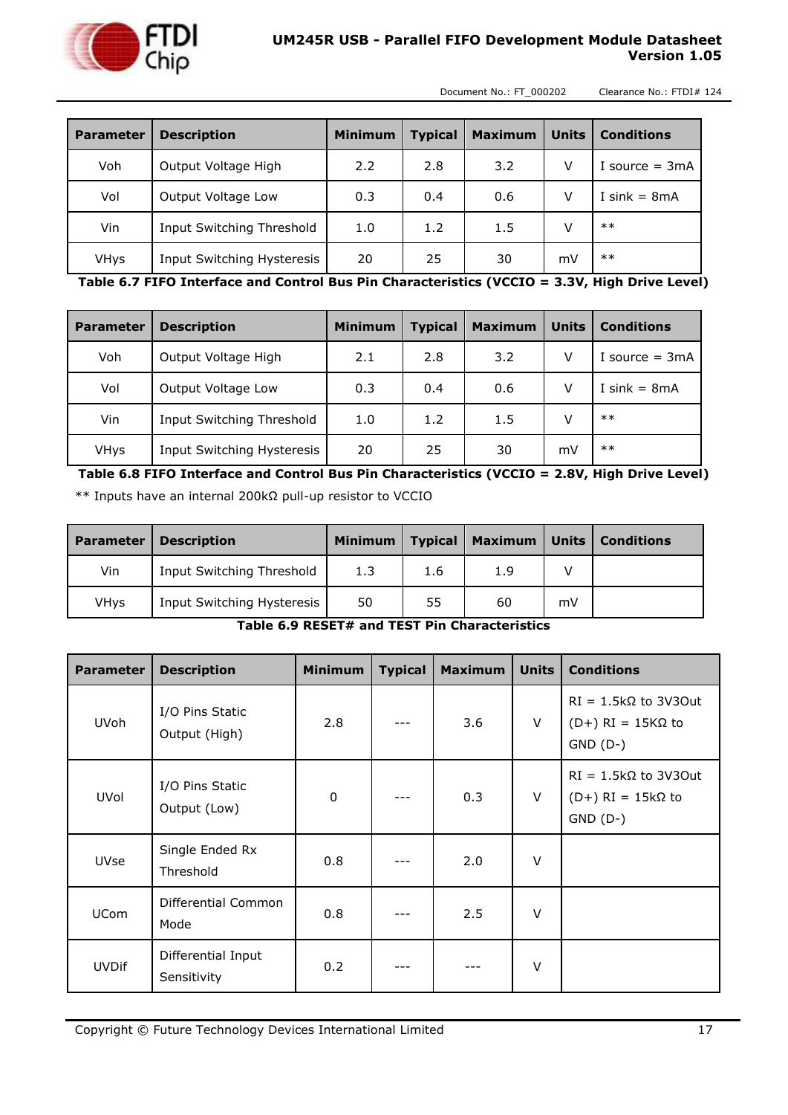

#### **UM245R USB - Parallel FIFO Development Module Datasheet Version 1.05**

Document No.: FT\_000202 Clearance No.: FTDI# 124

| <b>Parameter</b> | <b>Description</b>         | <b>Minimum</b> | <b>Typical</b> | <b>Maximum</b> | <b>Units</b> | <b>Conditions</b> |
|------------------|----------------------------|----------------|----------------|----------------|--------------|-------------------|
| Voh              | Output Voltage High        | 2.2            | 2.8            | 3.2            | V            | I source $=$ 3mA  |
| Vol              | Output Voltage Low         | 0.3            | 0.4            | 0.6            | v            | I sink = $8mA$    |
| Vin              | Input Switching Threshold  | 1.0            | 1.2            | 1.5            | v            | $**$              |
| <b>VHys</b>      | Input Switching Hysteresis | 20             | 25             | 30             | mV           | $**$              |

<span id="page-16-0"></span>**Table 6.7 FIFO Interface and Control Bus Pin Characteristics (VCCIO = 3.3V, High Drive Level)**

| <b>Parameter</b> | <b>Description</b>         | <b>Minimum</b> | <b>Typical</b> | <b>Maximum</b> | <b>Units</b> | <b>Conditions</b> |
|------------------|----------------------------|----------------|----------------|----------------|--------------|-------------------|
| Voh              | Output Voltage High        | 2.1            | 2.8            | 3.2            |              | I source $= 3mA$  |
| Vol              | Output Voltage Low         | 0.3            | 0.4            | 0.6            |              | I sink $= 8mA$    |
| Vin              | Input Switching Threshold  | 1.0            | 1.2            | 1.5            |              | $**$              |
| <b>VHys</b>      | Input Switching Hysteresis | 20             | 25             | 30             | mV           | $**$              |

<span id="page-16-1"></span>**Table 6.8 FIFO Interface and Control Bus Pin Characteristics (VCCIO = 2.8V, High Drive Level)** \*\* Inputs have an internal 200kΩ pull-up resistor to VCCIO

| <b>Parameter</b> | <b>Description</b>         | Minimum | <b>Typical</b> | Maximum | <b>Units</b> | Conditions |
|------------------|----------------------------|---------|----------------|---------|--------------|------------|
| Vin              | Input Switching Threshold  | 1.3     | 1.6            | 1.9     |              |            |
| VHys             | Input Switching Hysteresis | 50      | 55             | 60      | mV           |            |

**Table 6.9 RESET# and TEST Pin Characteristics**

<span id="page-16-2"></span>

| <b>Parameter</b> | <b>Description</b>                | <b>Minimum</b> | <b>Typical</b> | <b>Maximum</b> | <b>Units</b> | <b>Conditions</b>                                                        |
|------------------|-----------------------------------|----------------|----------------|----------------|--------------|--------------------------------------------------------------------------|
| <b>UVoh</b>      | I/O Pins Static<br>Output (High)  | 2.8            |                | 3.6            | V            | $RI = 1.5k\Omega$ to 3V30ut<br>$(D+) RI = 15 K\Omega$ to<br>$GND$ $(D-)$ |
| UVol             | I/O Pins Static<br>Output (Low)   | $\mathbf 0$    |                | 0.3            | $\vee$       | $RI = 1.5k\Omega$ to 3V30ut<br>$(D+) RI = 15k\Omega$ to<br>$GND$ $(D-)$  |
| <b>UVse</b>      | Single Ended Rx<br>Threshold      | 0.8            |                | 2.0            | $\vee$       |                                                                          |
| <b>UCom</b>      | Differential Common<br>Mode       | 0.8            |                | 2.5            | $\vee$       |                                                                          |
| <b>UVDif</b>     | Differential Input<br>Sensitivity | 0.2            |                |                | $\vee$       |                                                                          |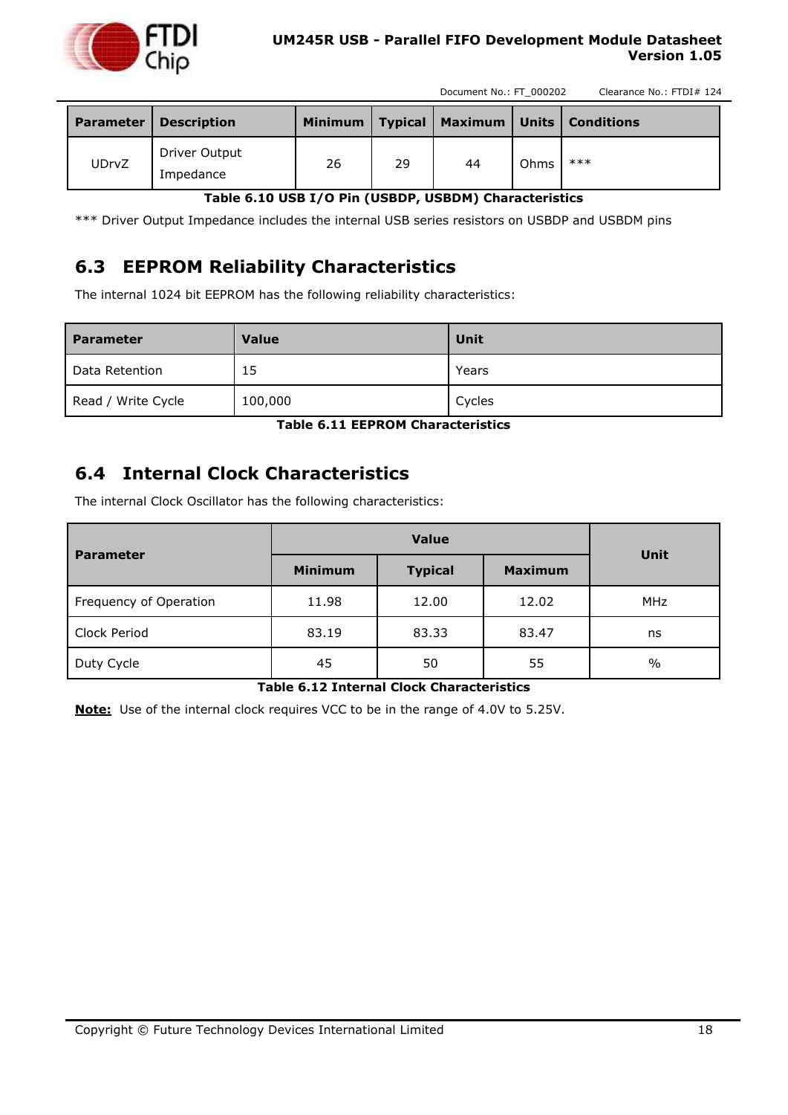

#### **UM245R USB - Parallel FIFO Development Module Datasheet Version 1.05**

Document No.: FT\_000202 Clearance No.: FTDI# 124

| <b>Parameter</b> | <b>Description</b>         | <b>Minimum</b> | <b>Typical</b> |    |      | Maximum   Units   Conditions |
|------------------|----------------------------|----------------|----------------|----|------|------------------------------|
| <b>UDrvZ</b>     | Driver Output<br>Impedance | 26             | 29             | 44 | Ohms | $***$                        |

#### **Table 6.10 USB I/O Pin (USBDP, USBDM) Characteristics**

<span id="page-17-2"></span>\*\*\* Driver Output Impedance includes the internal USB series resistors on USBDP and USBDM pins

#### <span id="page-17-0"></span>**6.3 EEPROM Reliability Characteristics**

The internal 1024 bit EEPROM has the following reliability characteristics:

| <b>Parameter</b>      | <b>Value</b> | Unit   |
|-----------------------|--------------|--------|
| Data Retention        | 15           | Years  |
| Write Cycle<br>Read / | 100,000      | Cycles |

**Table 6.11 EEPROM Characteristics**

#### <span id="page-17-3"></span><span id="page-17-1"></span>**6.4 Internal Clock Characteristics**

The internal Clock Oscillator has the following characteristics:

| <b>Parameter</b>       |                | <b>Unit</b>    |                |            |  |
|------------------------|----------------|----------------|----------------|------------|--|
|                        | <b>Minimum</b> | <b>Typical</b> | <b>Maximum</b> |            |  |
| Frequency of Operation | 11.98          | 12.00          | 12.02          | <b>MHz</b> |  |
| Clock Period           | 83.19          | 83.33          | 83.47          | ns         |  |
| Duty Cycle             | 45             | 50             | 55             | $\%$       |  |

#### **Table 6.12 Internal Clock Characteristics**

<span id="page-17-4"></span>**Note:** Use of the internal clock requires VCC to be in the range of 4.0V to 5.25V.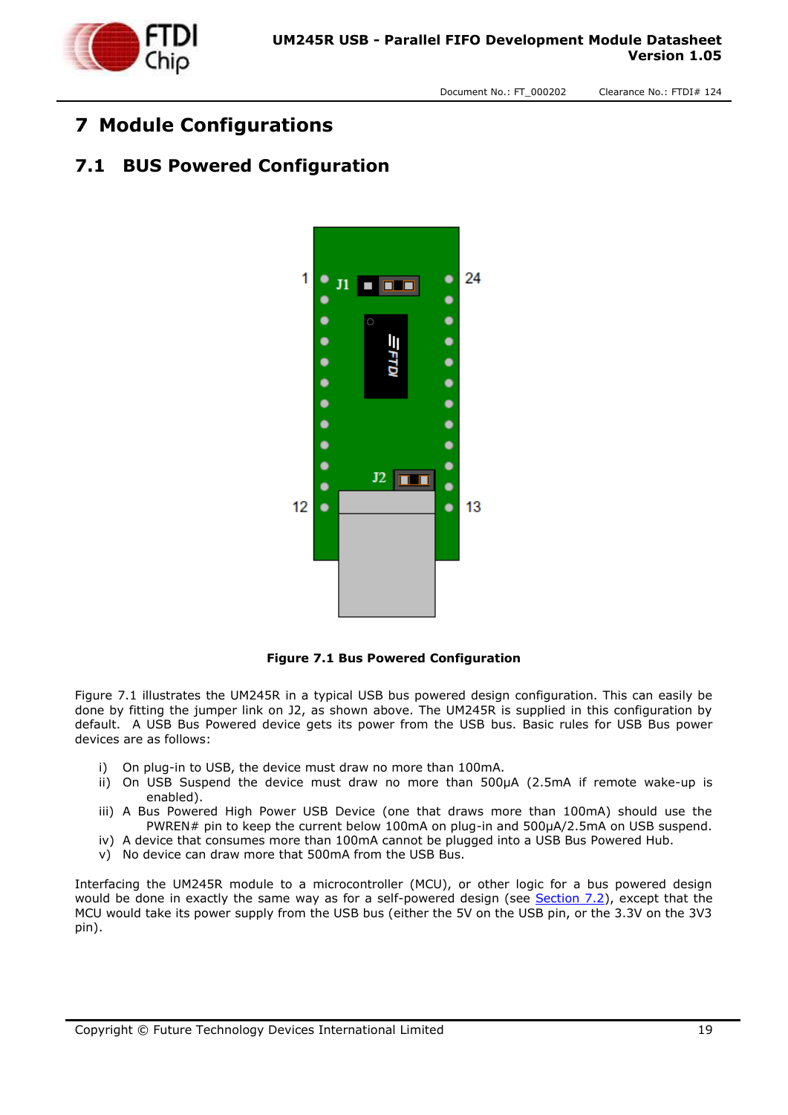

### <span id="page-18-0"></span>**7 Module Configurations**

#### <span id="page-18-1"></span>**7.1 BUS Powered Configuration**



**Figure 7.1 Bus Powered Configuration**

<span id="page-18-2"></span>Figure 7.1 illustrates the UM245R in a typical USB bus powered design configuration. This can easily be done by fitting the jumper link on J2, as shown above. The UM245R is supplied in this configuration by default. A USB Bus Powered device gets its power from the USB bus. Basic rules for USB Bus power devices are as follows:

- i) On plug-in to USB, the device must draw no more than 100mA.
- ii) On USB Suspend the device must draw no more than 500μA (2.5mA if remote wake-up is enabled).
- iii) A Bus Powered High Power USB Device (one that draws more than 100mA) should use the PWREN# pin to keep the current below 100mA on plug-in and 500μA/2.5mA on USB suspend.
- iv) A device that consumes more than 100mA cannot be plugged into a USB Bus Powered Hub.
- v) No device can draw more that 500mA from the USB Bus.

Interfacing the UM245R module to a microcontroller (MCU), or other logic for a bus powered design would be done in exactly the same way as for a self-powered design (see [Section 7.2\)](#page-19-0), except that the MCU would take its power supply from the USB bus (either the 5V on the USB pin, or the 3.3V on the 3V3 pin).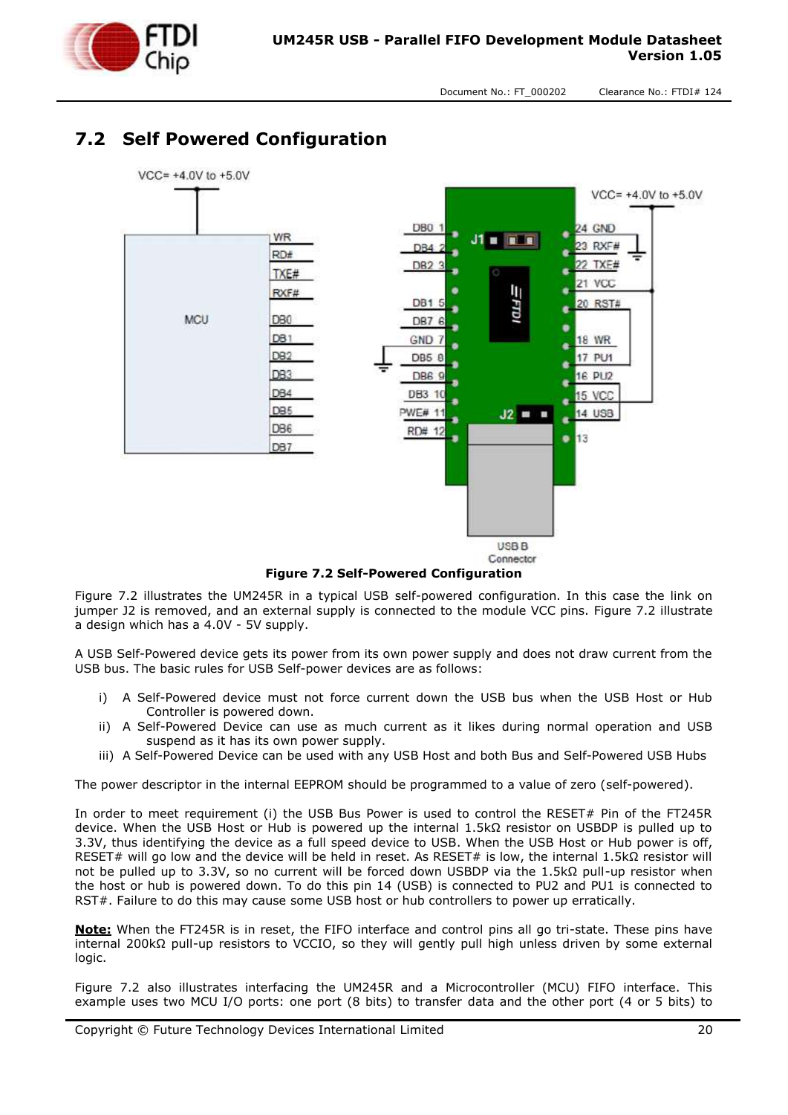

# <span id="page-19-0"></span>**7.2 Self Powered Configuration**



**Figure 7.2 Self-Powered Configuration**

<span id="page-19-1"></span>Figure 7.2 illustrates the UM245R in a typical USB self-powered configuration. In this case the link on jumper J2 is removed, and an external supply is connected to the module VCC pins. Figure 7.2 illustrate a design which has a 4.0V - 5V supply.

A USB Self-Powered device gets its power from its own power supply and does not draw current from the USB bus. The basic rules for USB Self-power devices are as follows:

- A Self-Powered device must not force current down the USB bus when the USB Host or Hub Controller is powered down.
- ii) A Self-Powered Device can use as much current as it likes during normal operation and USB suspend as it has its own power supply.
- iii) A Self-Powered Device can be used with any USB Host and both Bus and Self-Powered USB Hubs

The power descriptor in the internal EEPROM should be programmed to a value of zero (self-powered).

In order to meet requirement (i) the USB Bus Power is used to control the RESET# Pin of the FT245R device. When the USB Host or Hub is powered up the internal 1.5kΩ resistor on USBDP is pulled up to 3.3V, thus identifying the device as a full speed device to USB. When the USB Host or Hub power is off, RESET# will go low and the device will be held in reset. As RESET# is low, the internal 1.5kΩ resistor will not be pulled up to 3.3V, so no current will be forced down USBDP via the 1.5kΩ pull-up resistor when the host or hub is powered down. To do this pin 14 (USB) is connected to PU2 and PU1 is connected to RST#. Failure to do this may cause some USB host or hub controllers to power up erratically.

**Note:** When the FT245R is in reset, the FIFO interface and control pins all go tri-state. These pins have internal 200kΩ pull-up resistors to VCCIO, so they will gently pull high unless driven by some external logic.

Figure 7.2 also illustrates interfacing the UM245R and a Microcontroller (MCU) FIFO interface. This example uses two MCU I/O ports: one port (8 bits) to transfer data and the other port (4 or 5 bits) to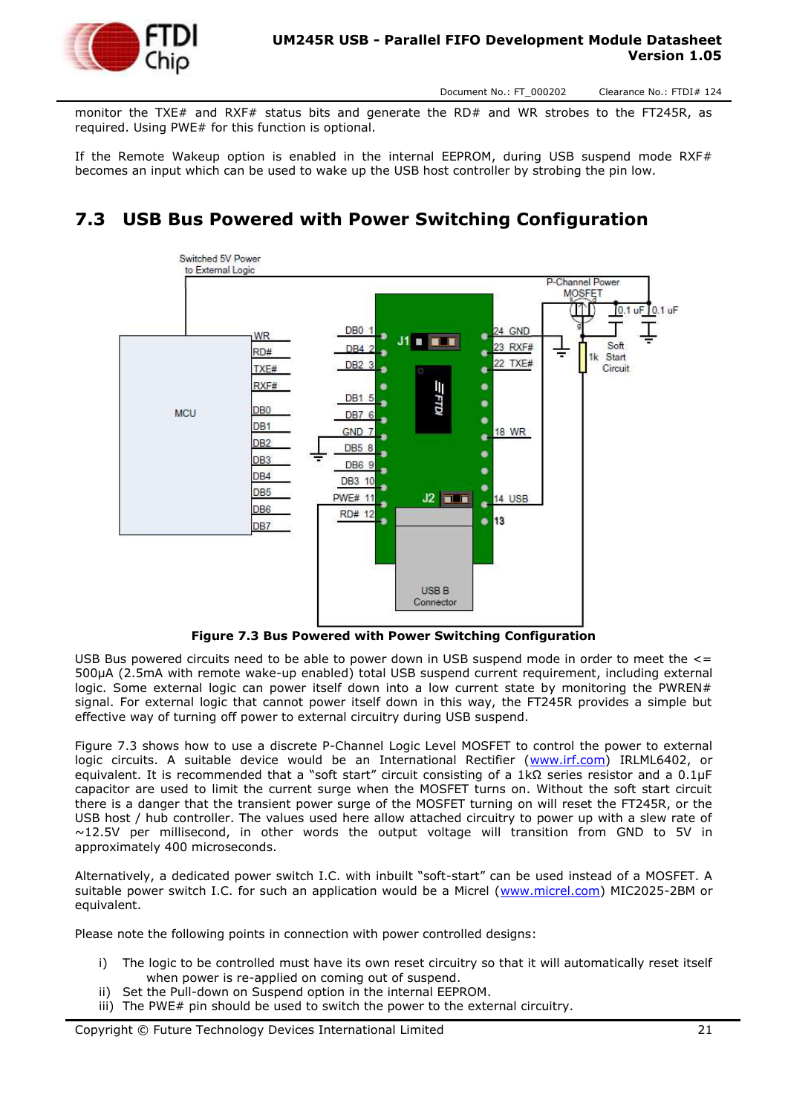

monitor the TXE# and RXF# status bits and generate the RD# and WR strobes to the FT245R, as required. Using PWE# for this function is optional.

If the Remote Wakeup option is enabled in the internal EEPROM, during USB suspend mode RXF# becomes an input which can be used to wake up the USB host controller by strobing the pin low.

#### <span id="page-20-0"></span>**7.3 USB Bus Powered with Power Switching Configuration**



**Figure 7.3 Bus Powered with Power Switching Configuration**

<span id="page-20-1"></span>USB Bus powered circuits need to be able to power down in USB suspend mode in order to meet the <= 500μA (2.5mA with remote wake-up enabled) total USB suspend current requirement, including external logic. Some external logic can power itself down into a low current state by monitoring the PWREN# signal. For external logic that cannot power itself down in this way, the FT245R provides a simple but effective way of turning off power to external circuitry during USB suspend.

Figure 7.3 shows how to use a discrete P-Channel Logic Level MOSFET to control the power to external logic circuits. A suitable device would be an International Rectifier [\(www.irf.com\)](http://www.irf.com/) IRLML6402, or equivalent. It is recommended that a "soft start" circuit consisting of a 1kΩ series resistor and a 0.1μF capacitor are used to limit the current surge when the MOSFET turns on. Without the soft start circuit there is a danger that the transient power surge of the MOSFET turning on will reset the FT245R, or the USB host / hub controller. The values used here allow attached circuitry to power up with a slew rate of  $\sim$ 12.5V per millisecond, in other words the output voltage will transition from GND to 5V in approximately 400 microseconds.

Alternatively, a dedicated power switch I.C. with inbuilt "soft-start" can be used instead of a MOSFET. A suitable power switch I.C. for such an application would be a Micrel [\(www.micrel.com\)](http://www.micrel.com/) MIC2025-2BM or equivalent.

Please note the following points in connection with power controlled designs:

- i) The logic to be controlled must have its own reset circuitry so that it will automatically reset itself when power is re-applied on coming out of suspend.
- ii) Set the Pull-down on Suspend option in the internal EEPROM.
- iii) The PWE# pin should be used to switch the power to the external circuitry.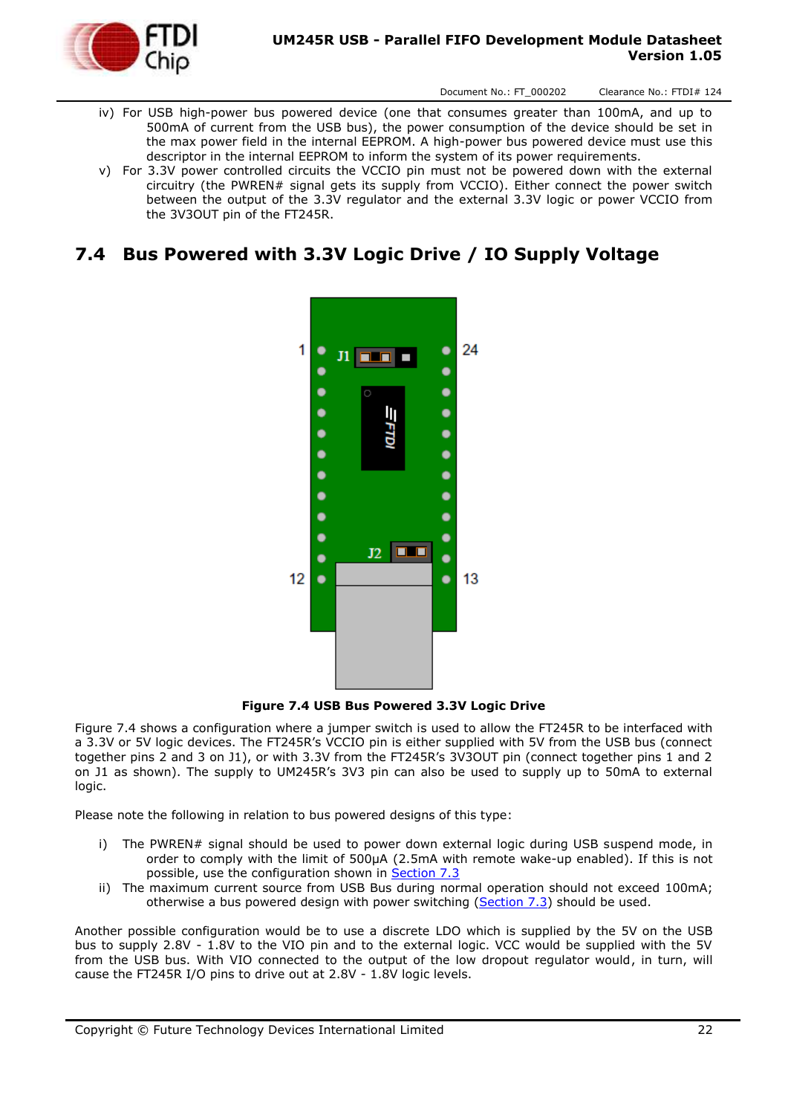

#### **UM245R USB - Parallel FIFO Development Module Datasheet Version 1.05**

Document No.: FT\_000202 Clearance No.: FTDI# 124

- iv) For USB high-power bus powered device (one that consumes greater than 100mA, and up to 500mA of current from the USB bus), the power consumption of the device should be set in the max power field in the internal EEPROM. A high-power bus powered device must use this descriptor in the internal EEPROM to inform the system of its power requirements.
- v) For 3.3V power controlled circuits the VCCIO pin must not be powered down with the external circuitry (the PWREN# signal gets its supply from VCCIO). Either connect the power switch between the output of the 3.3V regulator and the external 3.3V logic or power VCCIO from the 3V3OUT pin of the FT245R.

#### <span id="page-21-0"></span>**7.4 Bus Powered with 3.3V Logic Drive / IO Supply Voltage**



**Figure 7.4 USB Bus Powered 3.3V Logic Drive**

<span id="page-21-1"></span>Figure 7.4 shows a configuration where a jumper switch is used to allow the FT245R to be interfaced with a 3.3V or 5V logic devices. The FT245R's VCCIO pin is either supplied with 5V from the USB bus (connect together pins 2 and 3 on J1), or with 3.3V from the FT245R's 3V3OUT pin (connect together pins 1 and 2 on J1 as shown). The supply to UM245R's 3V3 pin can also be used to supply up to 50mA to external logic.

Please note the following in relation to bus powered designs of this type:

- i) The PWREN# signal should be used to power down external logic during USB suspend mode, in order to comply with the limit of 500μA (2.5mA with remote wake-up enabled). If this is not possible, use the configuration shown in [Section 7.3](#page-20-0)
- ii) The maximum current source from USB Bus during normal operation should not exceed 100mA; otherwise a bus powered design with power switching [\(Section 7.3\)](#page-20-0) should be used.

Another possible configuration would be to use a discrete LDO which is supplied by the 5V on the USB bus to supply 2.8V - 1.8V to the VIO pin and to the external logic. VCC would be supplied with the 5V from the USB bus. With VIO connected to the output of the low dropout regulator would, in turn, will cause the FT245R I/O pins to drive out at 2.8V - 1.8V logic levels.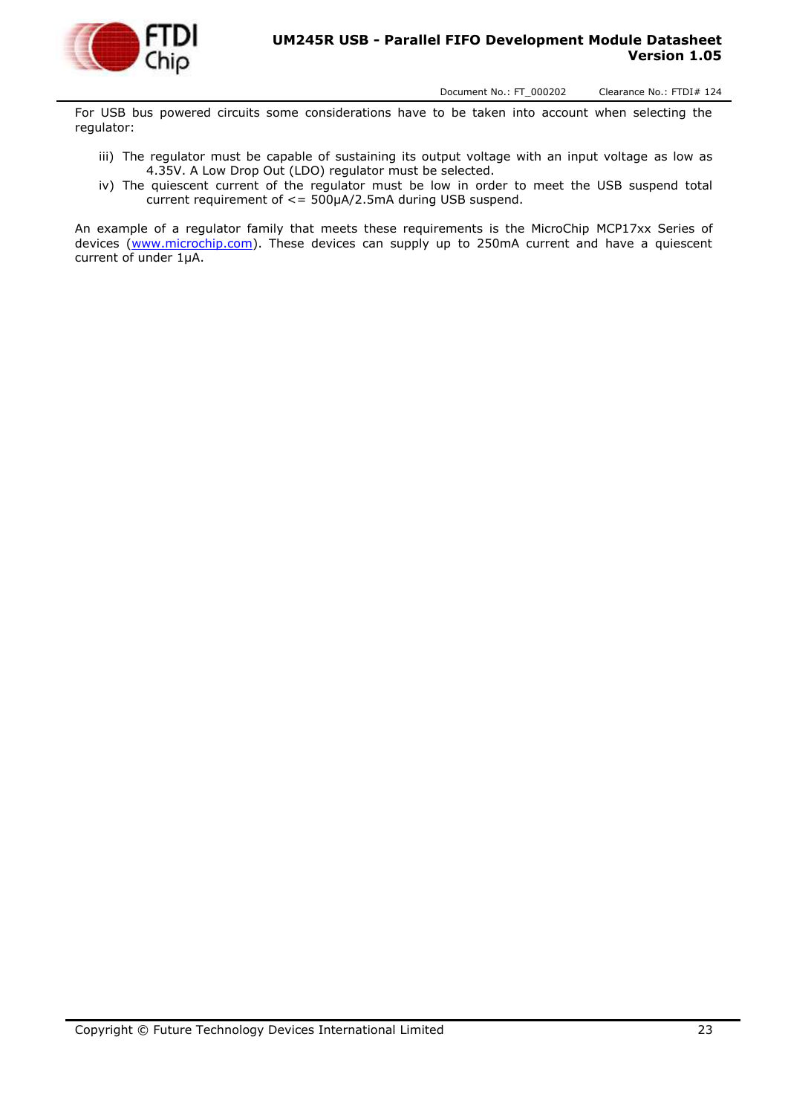

For USB bus powered circuits some considerations have to be taken into account when selecting the regulator:

- iii) The regulator must be capable of sustaining its output voltage with an input voltage as low as 4.35V. A Low Drop Out (LDO) regulator must be selected.
- iv) The quiescent current of the regulator must be low in order to meet the USB suspend total current requirement of <= 500μA/2.5mA during USB suspend.

An example of a regulator family that meets these requirements is the MicroChip MCP17xx Series of devices [\(www.microchip.com\)](http://www.microchip.com/). These devices can supply up to 250mA current and have a quiescent current of under 1μA.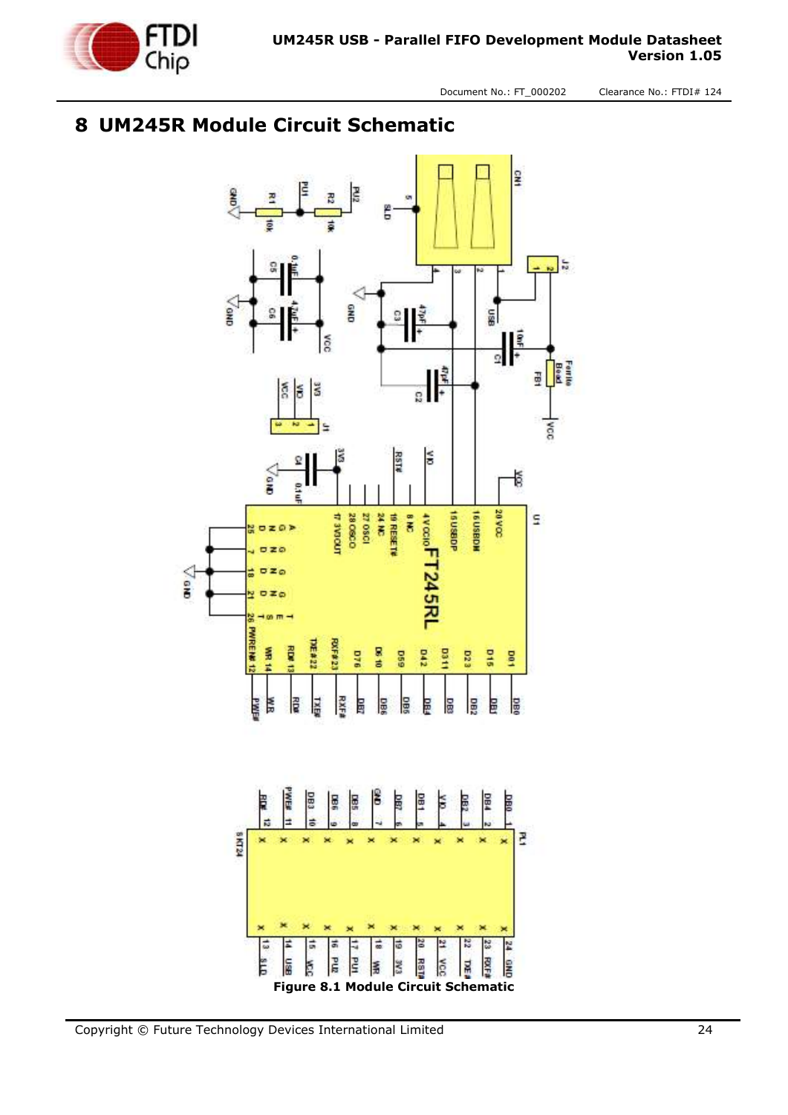

# <span id="page-23-0"></span>**8 UM245R Module Circuit Schematic**

<span id="page-23-1"></span>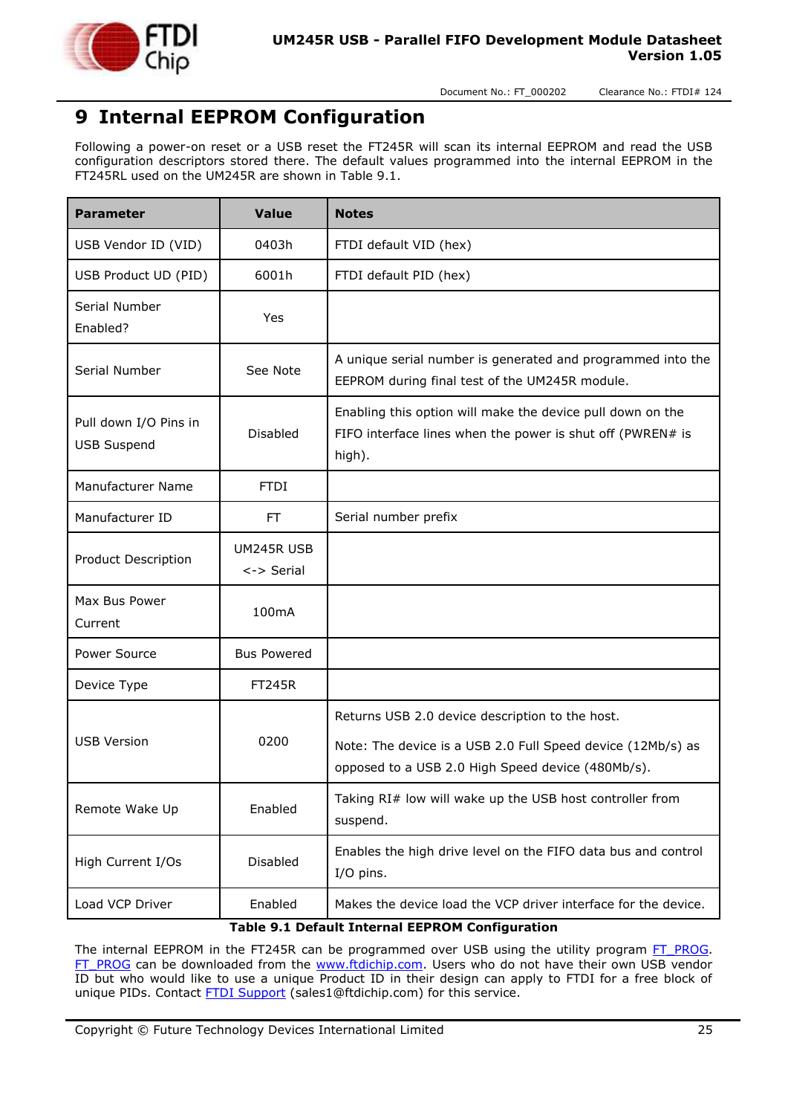

# <span id="page-24-0"></span>**9 Internal EEPROM Configuration**

Following a power-on reset or a USB reset the FT245R will scan its internal EEPROM and read the USB configuration descriptors stored there. The default values programmed into the internal EEPROM in the FT245RL used on the UM245R are shown in Table 9.1.

| <b>Parameter</b>                            | <b>Value</b>                      | <b>Notes</b>                                                                                                                       |
|---------------------------------------------|-----------------------------------|------------------------------------------------------------------------------------------------------------------------------------|
| USB Vendor ID (VID)                         | 0403h                             | FTDI default VID (hex)                                                                                                             |
| USB Product UD (PID)                        | 6001h                             | FTDI default PID (hex)                                                                                                             |
| Serial Number<br>Enabled?                   | Yes                               |                                                                                                                                    |
| Serial Number                               | See Note                          | A unique serial number is generated and programmed into the<br>EEPROM during final test of the UM245R module.                      |
| Pull down I/O Pins in<br><b>USB Suspend</b> | <b>Disabled</b>                   | Enabling this option will make the device pull down on the<br>FIFO interface lines when the power is shut off (PWREN# is<br>high). |
| Manufacturer Name                           | <b>FTDI</b>                       |                                                                                                                                    |
| Manufacturer ID                             | FT.                               | Serial number prefix                                                                                                               |
| Product Description                         | UM245R USB<br>$\leftarrow$ Serial |                                                                                                                                    |
| Max Bus Power<br>Current                    | 100mA                             |                                                                                                                                    |
| Power Source                                | <b>Bus Powered</b>                |                                                                                                                                    |
| Device Type                                 | <b>FT245R</b>                     |                                                                                                                                    |
|                                             |                                   | Returns USB 2.0 device description to the host.                                                                                    |
| <b>USB Version</b>                          | 0200                              | Note: The device is a USB 2.0 Full Speed device (12Mb/s) as<br>opposed to a USB 2.0 High Speed device (480Mb/s).                   |
| Remote Wake Up                              | Enabled                           | Taking RI# low will wake up the USB host controller from<br>suspend.                                                               |
| High Current I/Os                           | Disabled                          | Enables the high drive level on the FIFO data bus and control<br>I/O pins.                                                         |
| Load VCP Driver                             | Enabled                           | Makes the device load the VCP driver interface for the device.<br>Table 0.1 Default Internal EEDDOM Configuration                  |

**Table 9.1 Default Internal EEPROM Configuration**

<span id="page-24-1"></span>The internal EEPROM in the FT245R can be programmed over USB using the utility program [FT\\_PROG.](http://www.ftdichip.com/Support/Utilities.htm#FT_PROG) [FT\\_PROG](http://www.ftdichip.com/Support/Utilities.htm#FT_PROG) can be downloaded from the [www.ftdichip.com.](http://www.ftdichip.com/) Users who do not have their own USB vendor ID but who would like to use a unique Product ID in their design can apply to FTDI for a free block of unique PIDs. Contact **FTDI Support** (sales1@ftdichip.com) for this service.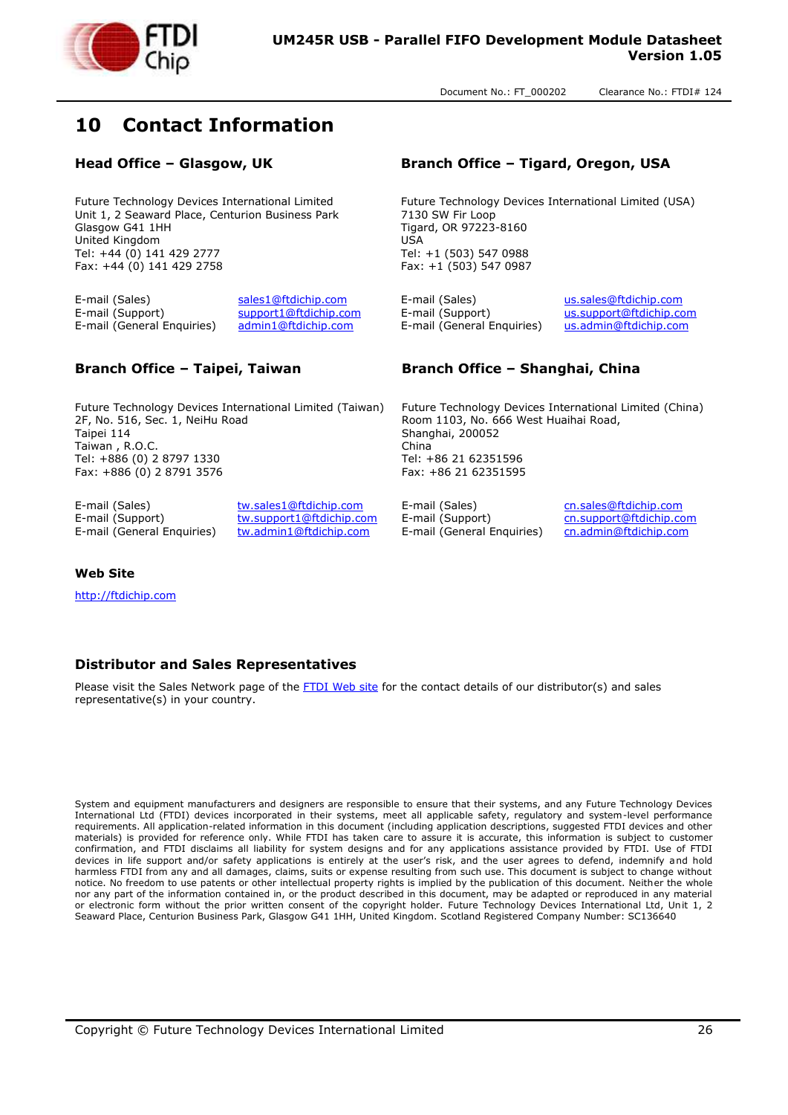

# <span id="page-25-0"></span>**10 Contact Information**

Future Technology Devices International Limited Unit 1, 2 Seaward Place, Centurion Business Park Glasgow G41 1HH United Kingdom Tel: +44 (0) 141 429 2777 Fax: +44 (0) 141 429 2758

E-mail (Sales) [sales1@ftdichip.com](mailto:sales1@ftdichip.com) E-mail (Sales) [us.sales@ftdichip.com](mailto:us.sales@ftdichip.com) E-mail (Support) [support1@ftdichip.com](mailto:support1@ftdichip.com) E-mail (Support) [us.support@ftdichip.com](mailto:us.support@ftdichip.com) E-mail (General Enquiries) [admin1@ftdichip.com](mailto:admin1@ftdichip.com) E-mail (General Enquiries) [us.admin@ftdichip.com](mailto:us.admin@ftdichip.com)

Future Technology Devices International Limited (Taiwan) 2F, No. 516, Sec. 1, NeiHu Road Taipei 114 Taiwan , R.O.C. Tel: +886 (0) 2 8797 1330 Fax: +886 (0) 2 8791 3576

E-mail (Sales) [tw.sales1@ftdichip.com](mailto:tw.sales1@ftdichip.com) E-mail (Sales) [cn.sales@ftdichip.com](mailto:cn.sales@ftdichip.com)<br>E-mail (Support) tw.support1@ftdichip.com E-mail (Support) cn.support@ftdichip.co

E-mail (Support) [tw.support1@ftdichip.com](mailto:tw.support1@ftdichip.com) E-mail (Support) [cn.support@ftdichip.com](mailto:cn.support@ftdichip.com)<br>E-mail (General Enguiries) tw.admin1@ftdichip.com E-mail (General Enguiries) cn.admin@ftdichip.com E-mail (General Enquiries) [tw.admin1@ftdichip.com](mailto:tw.admin1@ftdichip.com) E-mail (General Enquiries) [cn.admin@ftdichip.com](mailto:cn.admin@ftdichip.com)

#### **Head Office – Glasgow, UK Branch Office – Tigard, Oregon, USA**

Future Technology Devices International Limited (USA) 7130 SW Fir Loop Tigard, OR 97223-8160 USA Tel: +1 (503) 547 0988 Fax: +1 (503) 547 0987

#### **Branch Office – Taipei, Taiwan Branch Office – Shanghai, China**

Future Technology Devices International Limited (China) Room 1103, No. 666 West Huaihai Road, Shanghai, 200052 China Tel: +86 21 62351596 Fax: +86 21 62351595

#### **Web Site**

[http://ftdichip.com](http://ftdichip.com/)

#### **Distributor and Sales Representatives**

Please visit the Sales Network page of the [FTDI Web site](http://ftdichip.com/FTSalesNetwork.htm) for the contact details of our distributor(s) and sales representative(s) in your country.

System and equipment manufacturers and designers are responsible to ensure that their systems, and any Future Technology Devices International Ltd (FTDI) devices incorporated in their systems, meet all applicable safety, regulatory and system-level performance requirements. All application-related information in this document (including application descriptions, suggested FTDI devices and other materials) is provided for reference only. While FTDI has taken care to assure it is accurate, this information is subject to customer confirmation, and FTDI disclaims all liability for system designs and for any applications assistance provided by FTDI. Use of FTDI devices in life support and/or safety applications is entirely at the user's risk, and the user agrees to defend, indemnify and hold harmless FTDI from any and all damages, claims, suits or expense resulting from such use. This document is subject to change without notice. No freedom to use patents or other intellectual property rights is implied by the publication of this document. Neither the whole nor any part of the information contained in, or the product described in this document, may be adapted or reproduced in any material or electronic form without the prior written consent of the copyright holder. Future Technology Devices International Ltd, Unit 1, 2 Seaward Place, Centurion Business Park, Glasgow G41 1HH, United Kingdom. Scotland Registered Company Number: SC136640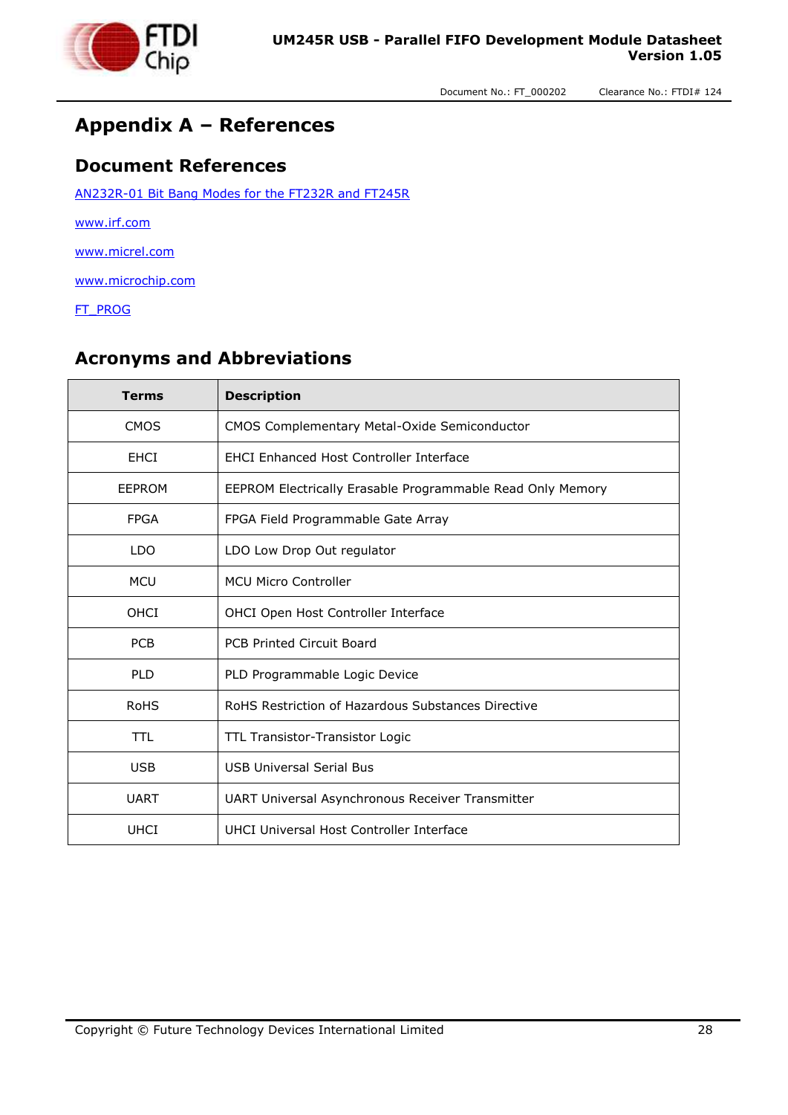

### <span id="page-26-0"></span>**Appendix A – References**

#### <span id="page-26-1"></span>**Document References**

[AN232R-01 Bit Bang Modes for the FT232R and FT245R](http://www.ftdichip.com/Documents/AppNotes/AN232R-01_FT232RBitBangModes.pdf)

[www.irf.com](http://www.irf.com/)

[www.micrel.com](http://www.micrel.com/)

[www.microchip.com](http://www.microchip.com/)

[FT\\_PROG](http://www.ftdichip.com/Support/Utilities.htm#FT_PROG)

#### <span id="page-26-2"></span>**Acronyms and Abbreviations**

| <b>Terms</b> | <b>Description</b>                                         |
|--------------|------------------------------------------------------------|
| <b>CMOS</b>  | <b>CMOS Complementary Metal-Oxide Semiconductor</b>        |
| EHCI         | <b>EHCI Enhanced Host Controller Interface</b>             |
| EEPROM       | EEPROM Electrically Erasable Programmable Read Only Memory |
| <b>FPGA</b>  | FPGA Field Programmable Gate Array                         |
| <b>LDO</b>   | LDO Low Drop Out regulator                                 |
| <b>MCU</b>   | <b>MCU Micro Controller</b>                                |
| OHCI         | OHCI Open Host Controller Interface                        |
| <b>PCB</b>   | <b>PCB Printed Circuit Board</b>                           |
| <b>PLD</b>   | PLD Programmable Logic Device                              |
| <b>RoHS</b>  | RoHS Restriction of Hazardous Substances Directive         |
| TTL          | TTL Transistor-Transistor Logic                            |
| <b>USB</b>   | <b>USB Universal Serial Bus</b>                            |
| <b>UART</b>  | UART Universal Asynchronous Receiver Transmitter           |
| <b>UHCI</b>  | UHCI Universal Host Controller Interface                   |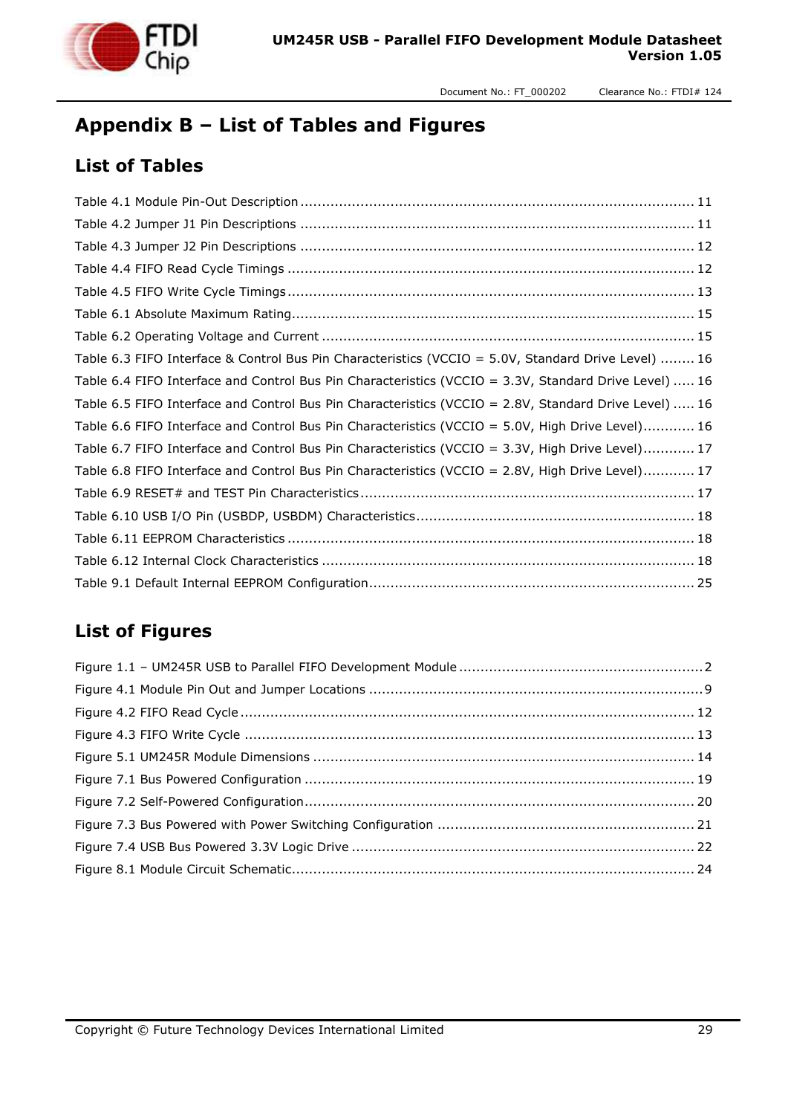

# <span id="page-27-0"></span>**Appendix B – List of Tables and Figures**

#### <span id="page-27-1"></span>**List of Tables**

| Table 6.3 FIFO Interface & Control Bus Pin Characteristics (VCCIO = 5.0V, Standard Drive Level)  16   |
|-------------------------------------------------------------------------------------------------------|
| Table 6.4 FIFO Interface and Control Bus Pin Characteristics (VCCIO = 3.3V, Standard Drive Level)  16 |
| Table 6.5 FIFO Interface and Control Bus Pin Characteristics (VCCIO = 2.8V, Standard Drive Level)  16 |
| Table 6.6 FIFO Interface and Control Bus Pin Characteristics (VCCIO = 5.0V, High Drive Level) 16      |
| Table 6.7 FIFO Interface and Control Bus Pin Characteristics (VCCIO = 3.3V, High Drive Level) 17      |
| Table 6.8 FIFO Interface and Control Bus Pin Characteristics (VCCIO = 2.8V, High Drive Level) 17      |
|                                                                                                       |
|                                                                                                       |
|                                                                                                       |
|                                                                                                       |
|                                                                                                       |

#### <span id="page-27-2"></span>**List of Figures**